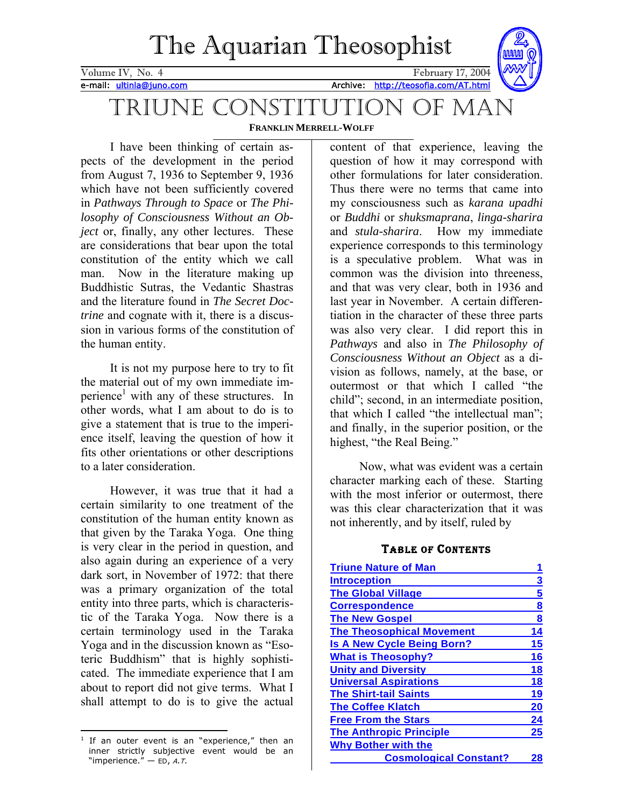<span id="page-0-1"></span>

I have been thinking of certain aspects of the development in the period from August 7, 1936 to September 9, 1936 which have not been sufficiently covered in *Pathways Through to Space* or *The Philosophy of Consciousness Without an Object* or, finally, any other lectures. These are considerations that bear upon the total constitution of the entity which we call man. Now in the literature making up Buddhistic Sutras, the Vedantic Shastras and the literature found in *The Secret Doctrine* and cognate with it, there is a discussion in various forms of the constitution of the human entity.

It is not my purpose here to try to fit the material out of my own immediate im-perience<sup>[1](#page-0-0)</sup> with any of these structures. In other words, what I am about to do is to give a statement that is true to the imperience itself, leaving the question of how it fits other orientations or other descriptions to a later consideration.

However, it was true that it had a certain similarity to one treatment of the constitution of the human entity known as that given by the Taraka Yoga. One thing is very clear in the period in question, and also again during an experience of a very dark sort, in November of 1972: that there was a primary organization of the total entity into three parts, which is characteristic of the Taraka Yoga. Now there is a certain terminology used in the Taraka Yoga and in the discussion known as "Esoteric Buddhism" that is highly sophisticated. The immediate experience that I am about to report did not give terms. What I shall attempt to do is to give the actual

<span id="page-0-0"></span> $\frac{1}{1}$ If an outer event is an "experience," then an inner strictly subjective event would be an "imperience."  $-$  ED, A.T.

content of that experience, leaving the question of how it may correspond with other formulations for later consideration. Thus there were no terms that came into my consciousness such as *karana upadhi* or *Buddhi* or *shuksmaprana*, *linga-sharira* and *stula-sharira*. How my immediate experience corresponds to this terminology is a speculative problem. What was in common was the division into threeness, and that was very clear, both in 1936 and last year in November. A certain differentiation in the character of these three parts was also very clear. I did report this in *Pathways* and also in *The Philosophy of Consciousness Without an Object* as a division as follows, namely, at the base, or outermost or that which I called "the child"; second, in an intermediate position, that which I called "the intellectual man"; and finally, in the superior position, or the highest, "the Real Being."

Now, what was evident was a certain character marking each of these. Starting with the most inferior or outermost, there was this clear characterization that it was not inherently, and by itself, ruled by

### TABLE OF CONTENTS

| <b>Triune Nature of Man</b>       |    |
|-----------------------------------|----|
| <b>Introception</b>               | 3  |
| <b>The Global Village</b>         | 5  |
| <b>Correspondence</b>             | 8  |
| <b>The New Gospel</b>             | 8  |
| <b>The Theosophical Movement</b>  | 14 |
| <b>Is A New Cycle Being Born?</b> | 15 |
| <b>What is Theosophy?</b>         | 16 |
| <b>Unity and Diversity</b>        | 18 |
| <b>Universal Aspirations</b>      | 18 |
| <b>The Shirt-tail Saints</b>      | 19 |
| <b>The Coffee Klatch</b>          | 20 |
| <b>Free From the Stars</b>        | 24 |
| <b>The Anthropic Principle</b>    | 25 |
| <b>Why Bother with the</b>        |    |
| <b>Cosmological Constant?</b>     | 28 |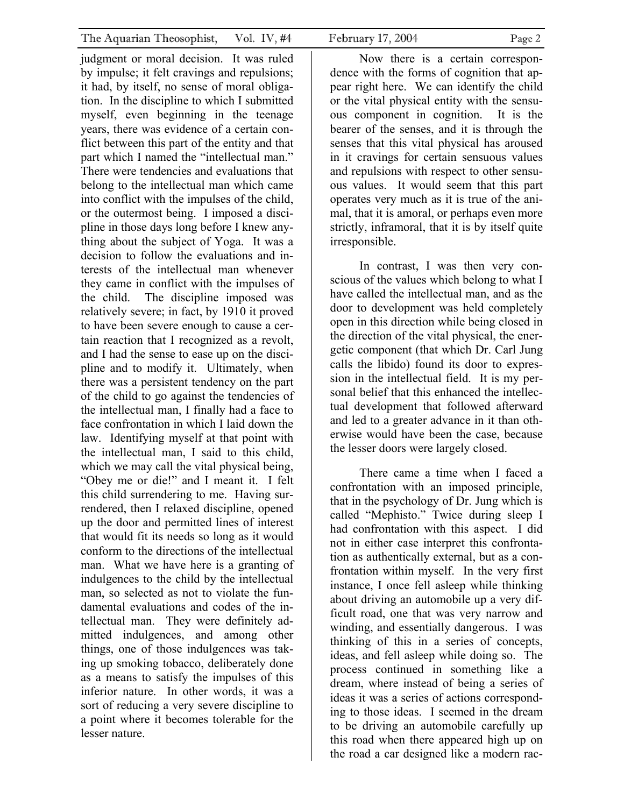judgment or moral decision. It was ruled by impulse; it felt cravings and repulsions; it had, by itself, no sense of moral obligation. In the discipline to which I submitted myself, even beginning in the teenage years, there was evidence of a certain conflict between this part of the entity and that part which I named the "intellectual man." There were tendencies and evaluations that belong to the intellectual man which came into conflict with the impulses of the child, or the outermost being. I imposed a discipline in those days long before I knew anything about the subject of Yoga. It was a decision to follow the evaluations and interests of the intellectual man whenever they came in conflict with the impulses of the child. The discipline imposed was relatively severe; in fact, by 1910 it proved to have been severe enough to cause a certain reaction that I recognized as a revolt, and I had the sense to ease up on the discipline and to modify it. Ultimately, when there was a persistent tendency on the part of the child to go against the tendencies of the intellectual man, I finally had a face to face confrontation in which I laid down the law. Identifying myself at that point with the intellectual man, I said to this child, which we may call the vital physical being, "Obey me or die!" and I meant it. I felt this child surrendering to me. Having surrendered, then I relaxed discipline, opened up the door and permitted lines of interest that would fit its needs so long as it would conform to the directions of the intellectual man. What we have here is a granting of indulgences to the child by the intellectual man, so selected as not to violate the fundamental evaluations and codes of the intellectual man. They were definitely admitted indulgences, and among other things, one of those indulgences was taking up smoking tobacco, deliberately done as a means to satisfy the impulses of this inferior nature. In other words, it was a sort of reducing a very severe discipline to a point where it becomes tolerable for the lesser nature.

Now there is a certain correspondence with the forms of cognition that appear right here. We can identify the child or the vital physical entity with the sensuous component in cognition. It is the bearer of the senses, and it is through the senses that this vital physical has aroused in it cravings for certain sensuous values and repulsions with respect to other sensuous values. It would seem that this part operates very much as it is true of the animal, that it is amoral, or perhaps even more strictly, inframoral, that it is by itself quite irresponsible.

In contrast, I was then very conscious of the values which belong to what I have called the intellectual man, and as the door to development was held completely open in this direction while being closed in the direction of the vital physical, the energetic component (that which Dr. Carl Jung calls the libido) found its door to expression in the intellectual field. It is my personal belief that this enhanced the intellectual development that followed afterward and led to a greater advance in it than otherwise would have been the case, because the lesser doors were largely closed.

There came a time when I faced a confrontation with an imposed principle, that in the psychology of Dr. Jung which is called "Mephisto." Twice during sleep I had confrontation with this aspect. I did not in either case interpret this confrontation as authentically external, but as a confrontation within myself. In the very first instance, I once fell asleep while thinking about driving an automobile up a very difficult road, one that was very narrow and winding, and essentially dangerous. I was thinking of this in a series of concepts, ideas, and fell asleep while doing so. The process continued in something like a dream, where instead of being a series of ideas it was a series of actions corresponding to those ideas. I seemed in the dream to be driving an automobile carefully up this road when there appeared high up on the road a car designed like a modern rac-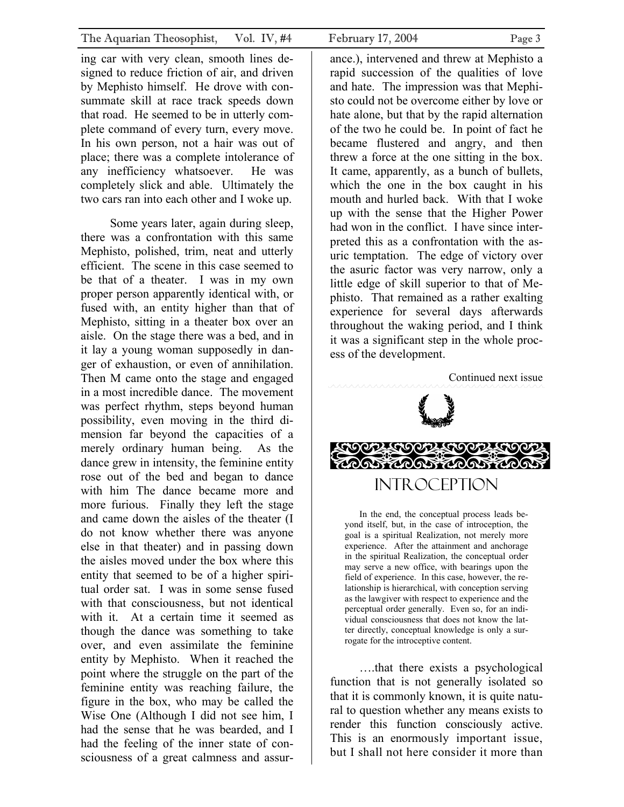<span id="page-2-0"></span>ing car with very clean, smooth lines designed to reduce friction of air, and driven by Mephisto himself. He drove with consummate skill at race track speeds down that road. He seemed to be in utterly complete command of every turn, every move. In his own person, not a hair was out of place; there was a complete intolerance of any inefficiency whatsoever. He was completely slick and able. Ultimately the two cars ran into each other and I woke up.

Some years later, again during sleep, there was a confrontation with this same Mephisto, polished, trim, neat and utterly efficient. The scene in this case seemed to be that of a theater. I was in my own proper person apparently identical with, or fused with, an entity higher than that of Mephisto, sitting in a theater box over an aisle. On the stage there was a bed, and in it lay a young woman supposedly in danger of exhaustion, or even of annihilation. Then M came onto the stage and engaged in a most incredible dance. The movement was perfect rhythm, steps beyond human possibility, even moving in the third dimension far beyond the capacities of a merely ordinary human being. As the dance grew in intensity, the feminine entity rose out of the bed and began to dance with him The dance became more and more furious. Finally they left the stage and came down the aisles of the theater (I do not know whether there was anyone else in that theater) and in passing down the aisles moved under the box where this entity that seemed to be of a higher spiritual order sat. I was in some sense fused with that consciousness, but not identical with it. At a certain time it seemed as though the dance was something to take over, and even assimilate the feminine entity by Mephisto. When it reached the point where the struggle on the part of the feminine entity was reaching failure, the figure in the box, who may be called the Wise One (Although I did not see him, I had the sense that he was bearded, and I had the feeling of the inner state of consciousness of a great calmness and assurance.), intervened and threw at Mephisto a rapid succession of the qualities of love and hate. The impression was that Mephisto could not be overcome either by love or hate alone, but that by the rapid alternation of the two he could be. In point of fact he became flustered and angry, and then threw a force at the one sitting in the box. It came, apparently, as a bunch of bullets, which the one in the box caught in his mouth and hurled back. With that I woke up with the sense that the Higher Power had won in the conflict. I have since interpreted this as a confrontation with the asuric temptation. The edge of victory over the asuric factor was very narrow, only a little edge of skill superior to that of Mephisto. That remained as a rather exalting experience for several days afterwards throughout the waking period, and I think it was a significant step in the whole process of the development.

Continued next issue



In the end, the conceptual process leads beyond itself, but, in the case of introception, the goal is a spiritual Realization, not merely more experience. After the attainment and anchorage in the spiritual Realization, the conceptual order may serve a new office, with bearings upon the field of experience. In this case, however, the relationship is hierarchical, with conception serving as the lawgiver with respect to experience and the perceptual order generally. Even so, for an individual consciousness that does not know the latter directly, conceptual knowledge is only a surrogate for the introceptive content.

….that there exists a psychological function that is not generally isolated so that it is commonly known, it is quite natural to question whether any means exists to render this function consciously active. This is an enormously important issue, but I shall not here consider it more than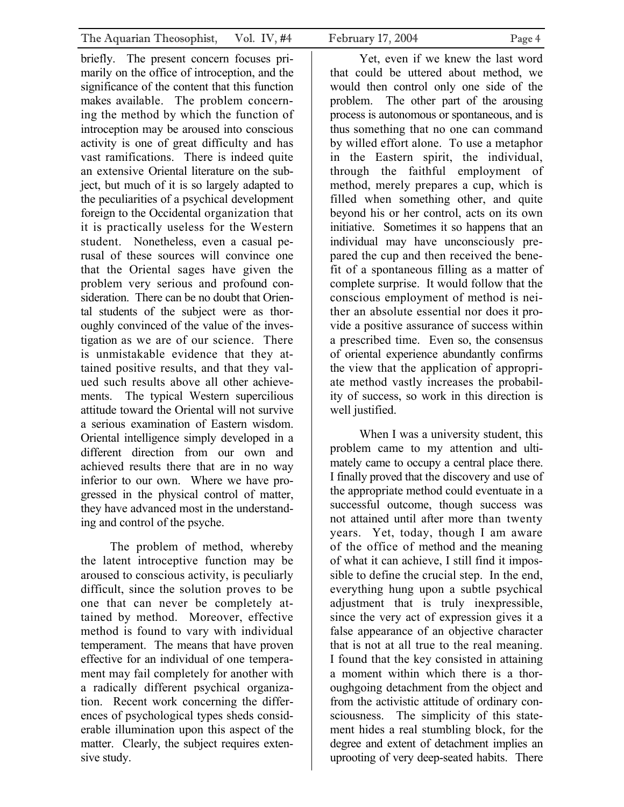briefly. The present concern focuses primarily on the office of introception, and the significance of the content that this function makes available. The problem concerning the method by which the function of introception may be aroused into conscious activity is one of great difficulty and has vast ramifications. There is indeed quite an extensive Oriental literature on the subject, but much of it is so largely adapted to the peculiarities of a psychical development foreign to the Occidental organization that it is practically useless for the Western student. Nonetheless, even a casual perusal of these sources will convince one that the Oriental sages have given the problem very serious and profound consideration. There can be no doubt that Oriental students of the subject were as thoroughly convinced of the value of the investigation as we are of our science. There is unmistakable evidence that they attained positive results, and that they valued such results above all other achievements. The typical Western supercilious attitude toward the Oriental will not survive a serious examination of Eastern wisdom. Oriental intelligence simply developed in a different direction from our own and achieved results there that are in no way inferior to our own. Where we have progressed in the physical control of matter, they have advanced most in the understanding and control of the psyche.

The problem of method, whereby the latent introceptive function may be aroused to conscious activity, is peculiarly difficult, since the solution proves to be one that can never be completely attained by method. Moreover, effective method is found to vary with individual temperament. The means that have proven effective for an individual of one temperament may fail completely for another with a radically different psychical organization. Recent work concerning the differences of psychological types sheds considerable illumination upon this aspect of the matter. Clearly, the subject requires extensive study.

Yet, even if we knew the last word that could be uttered about method, we would then control only one side of the problem. The other part of the arousing process is autonomous or spontaneous, and is thus something that no one can command by willed effort alone. To use a metaphor in the Eastern spirit, the individual, through the faithful employment of method, merely prepares a cup, which is filled when something other, and quite beyond his or her control, acts on its own initiative. Sometimes it so happens that an individual may have unconsciously prepared the cup and then received the benefit of a spontaneous filling as a matter of complete surprise. It would follow that the conscious employment of method is neither an absolute essential nor does it provide a positive assurance of success within a prescribed time. Even so, the consensus of oriental experience abundantly confirms the view that the application of appropriate method vastly increases the probability of success, so work in this direction is well justified.

When I was a university student, this problem came to my attention and ultimately came to occupy a central place there. I finally proved that the discovery and use of the appropriate method could eventuate in a successful outcome, though success was not attained until after more than twenty years. Yet, today, though I am aware of the office of method and the meaning of what it can achieve, I still find it impossible to define the crucial step. In the end, everything hung upon a subtle psychical adjustment that is truly inexpressible, since the very act of expression gives it a false appearance of an objective character that is not at all true to the real meaning. I found that the key consisted in attaining a moment within which there is a thoroughgoing detachment from the object and from the activistic attitude of ordinary consciousness. The simplicity of this statement hides a real stumbling block, for the degree and extent of detachment implies an uprooting of very deep-seated habits. There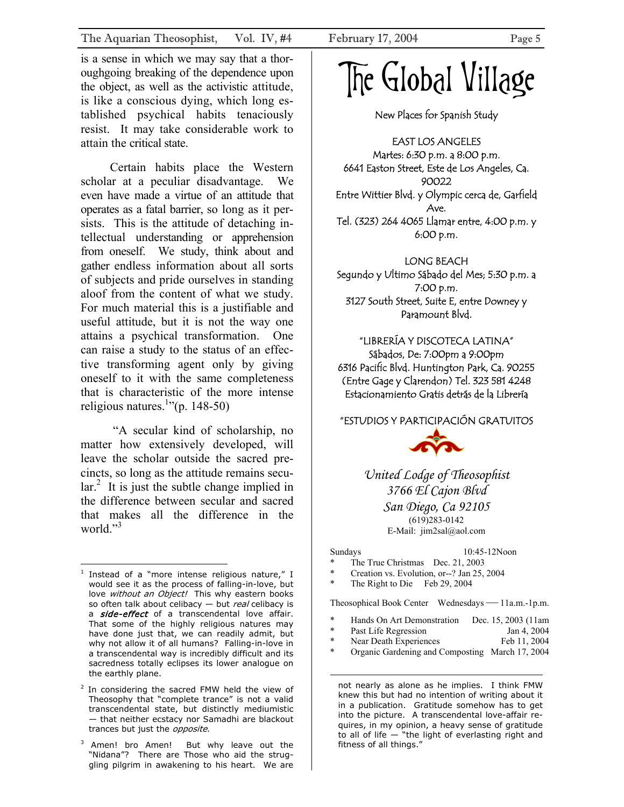<span id="page-4-0"></span>is a sense in which we may say that a thoroughgoing breaking of the dependence upon the object, as well as the activistic attitude, is like a conscious dying, which long established psychical habits tenaciously resist. It may take considerable work to attain the critical state.

Certain habits place the Western scholar at a peculiar disadvantage. We even have made a virtue of an attitude that operates as a fatal barrier, so long as it persists. This is the attitude of detaching intellectual understanding or apprehension from oneself. We study, think about and gather endless information about all sorts of subjects and pride ourselves in standing aloof from the content of what we study. For much material this is a justifiable and useful attitude, but it is not the way one attains a psychical transformation. One can raise a study to the status of an effective transforming agent only by giving oneself to it with the same completeness that is characteristic of the more intense religious natures.<sup>[1](#page-4-1)</sup> $(p. 148-50)$ 

"A secular kind of scholarship, no matter how extensively developed, will leave the scholar outside the sacred precincts, so long as the attitude remains secu-lar.<sup>[2](#page-4-2)</sup> It is just the subtle change implied in the difference between secular and sacred that makes all the difference in the world."<sup>[3](#page-4-3)</sup>

- <span id="page-4-2"></span> $2$  In considering the sacred FMW held the view of Theosophy that "complete trance" is not a valid transcendental state, but distinctly mediumistic — that neither ecstacy nor Samadhi are blackout trances but just the opposite.
- <span id="page-4-3"></span><sup>3</sup> Amen! bro Amen! But why leave out the "Nidana"? There are Those who aid the struggling pilgrim in awakening to his heart. We are

New Places for Spanish Study

EAST LOS ANGELES Martes: 6:30 p.m. a 8:00 p.m. 6641 Easton Street, Este de Los Angeles, Ca. 90022 Entre Wittier Blvd. y Olympic cerca de, Garfield Ave. Tel. (323) 264 4065 Llamar entre, 4:00 p.m. y 6:00 p.m.

LONG BEACH Segundo y Ultimo Sábado del Mes; 5:30 p.m. a 7:00 p.m. 3127 South Street, Suite E, entre Downey y Paramount Blvd.

"LIBRERÍA Y DISCOTECA LATINA" Sábados, De: 7:00pm a 9:00pm 6316 Pacific Blvd. Huntington Park, Ca. 90255 (Entre Gage y Clarendon) Tel. 323 581 4248 Estacionamiento Gratis detrás de la Librería

"ESTUDIOS Y PARTICIPACIÓN GRATUITOS



*United Lodge of Theosophist 3766 El Cajon Blvd San Diego, Ca 92105*  (619)283-0142 E-Mail: jim2sal@aol.com

Sundays 10:45-12Noon

- The True Christmas Dec. 21, 2003
- Creation vs. Evolution, or--? Jan 25, 2004
- The Right to Die Feb 29, 2004

Theosophical Book Center Wednesdays—11a.m.-1p.m.

- % Hands On Art Demonstration Dec. 15, 2003 (11am<br>Past Life Regression Jan 4, 2004
- Past Life Regression
- Near Death Experiences Feb 11, 2004
- Organic Gardening and Composting March 17, 2004

not nearly as alone as he implies. I think FMW knew this but had no intention of writing about it in a publication. Gratitude somehow has to get into the picture. A transcendental love-affair requires, in my opinion, a heavy sense of gratitude to all of life — "the light of everlasting right and fitness of all things."

<span id="page-4-1"></span>love *without an Object!* This why eastern books <sup>1</sup> Instead of a "more intense religious nature," I would see it as the process of falling-in-love, but so often talk about celibacy  $-$  but real celibacy is a **side-effect** of a transcendental love affair. That some of the highly religious natures may have done just that, we can readily admit, but why not allow it of all humans? Falling-in-love in a transcendental way is incredibly difficult and its sacredness totally eclipses its lower analogue on the earthly plane.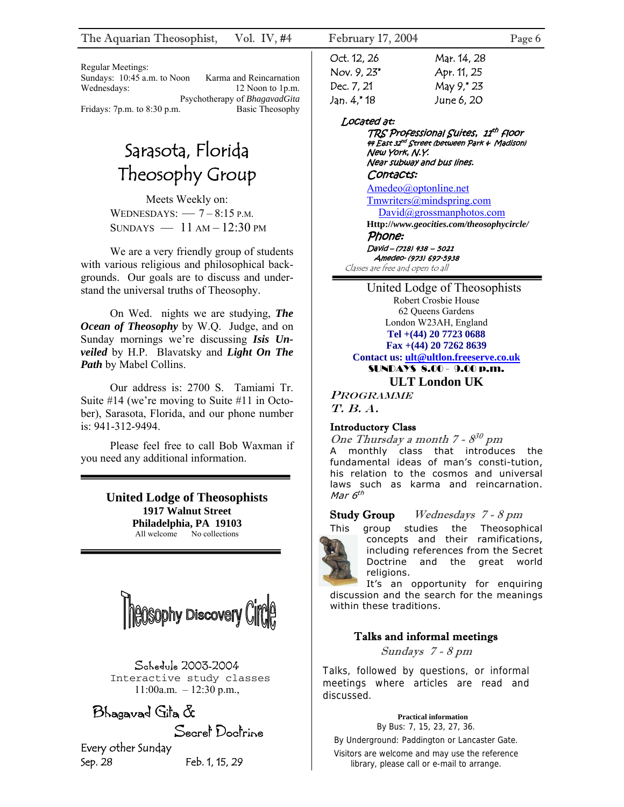Regular Meetings: Sundays: 10:45 a.m. to Noon Karma and Reincarnation Wednesdays: 12 Noon to 1p.m. Psychotherapy of *BhagavadGita*

Fridays: 7p.m. to 8:30 p.m. Basic Theosophy

# Sarasota, Florida Theosophy Group

Meets Weekly on: WEDNESDAYS:  $-7-8.15$  P.M. SUNDAYS  $-11$  AM  $-12:30$  PM

We are a very friendly group of students with various religious and philosophical backgrounds. Our goals are to discuss and understand the universal truths of Theosophy.

On Wed. nights we are studying, *The Ocean of Theosophy* by W.Q. Judge, and on Sunday mornings we're discussing *Isis Unveiled* by H.P. Blavatsky and *Light On The Path* by Mabel Collins.

Our address is: 2700 S. Tamiami Tr. Suite #14 (we're moving to Suite #11 in October), Sarasota, Florida, and our phone number is: 941-312-9494.

Please feel free to call Bob Waxman if you need any additional information.

#### **United Lodge of Theosophists 1917 Walnut Street Philadelphia, PA 19103**  All welcome No collections



# Schedule 2003-2004

 Interactive study classes  $11:00a.m. - 12:30 p.m.,$ 



Secret Doctrine

Every other Sunday Sep. 28 Feb. 1, 15, 29

| Oct. 12, 26 | Mar. 14, 28 |
|-------------|-------------|
| Nov. 9, 23* | Apr. 11, 25 |
| Dec. 7, 21  | May 9,* 23  |
| Jan. 4,* 18 | June 6, 20  |
|             |             |

Located at:

 TRS Professional Suites, 11th floor 44 East 32nd Street (between Park & Madison) New York, N.Y. Near subway and bus lines.

### Contacts:

[Amedeo@optonline.net](mailto:Amedeo@optonline.net) [Tmwriters@mindspring.com](mailto:Tmwriters@mindspring.com) [David@grossmanphotos.com](mailto:David@grossmanphotos.com) **Http://***www.geocities.com/theosophycircle/*  Phone: David – (718) 438 – 5021 Amedeo- (973) 697-5938 Classes are free and open to all

United Lodge of Theosophists Robert Crosbie House 62 Queens Gardens London W23AH, England **Tel +(44) 20 7723 0688 Fax +(44) 20 7262 8639 Contact us: [ult@ultlon.freeserve.co.uk](mailto:ult@ultlon.freeserve.co.uk)** SUNDAYS 8.00 - 9.00 p.m. **ULT London UK**  PROGRAMME T. B. A.

### Introductory Class

One Thursday a month  $7 - 8^{30}$  pm A monthly class that introduces the fundamental ideas of man's consti-tution, his relation to the cosmos and universal laws such as karma and reincarnation. Mar  $6^{th}$ 

### Study Group *Wednesdays* 7 - 8 pm



This group studies the Theosophical concepts and their ramifications, including references from the Secret Doctrine and the great world religions.

It's an opportunity for enquiring discussion and the search for the meanings within these traditions.

### Talks and informal meetings

### Sundays 7 - 8 pm

Talks, followed by questions, or informal meetings where articles are read and discussed.

#### **Practical information**

By Bus: 7, 15, 23, 27, 36. By Underground: Paddington or Lancaster Gate. Visitors are welcome and may use the reference library, please call or e-mail to arrange.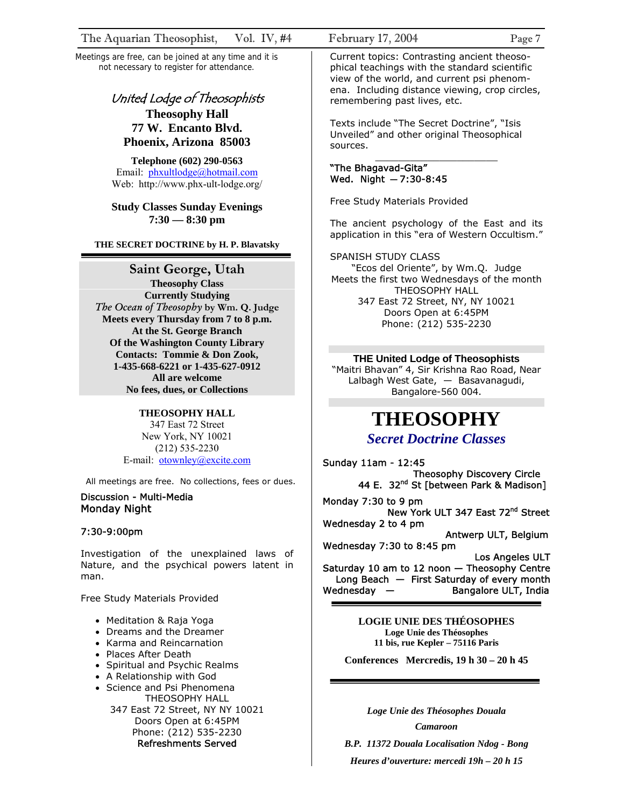Meetings are free, can be joined at any time and it is not necessary to register for attendance.

### United Lodge of Theosophists **Theosophy Hall 77 W. Encanto Blvd. Phoenix, Arizona 85003**

**Telephone (602) 290-0563** Email: [phxultlodge@hotmail.com](mailto:phxultlodge@hotmail.com) Web: http://www.phx-ult-lodge.org/

#### **Study Classes Sunday Evenings 7:30 — 8:30 pm**

**THE SECRET DOCTRINE by H. P. Blavatsky**

**Saint George, Utah Theosophy Class Currently Studying**  *The Ocean of Theosophy* **by Wm. Q. Judge Meets every Thursday from 7 to 8 p.m. At the St. George Branch Of the Washington County Library Contacts: Tommie & Don Zook, 1-435-668-6221 or 1-435-627-0912 All are welcome No fees, dues, or Collections**

#### **THEOSOPHY HALL**

347 East 72 Street New York, NY 10021 (212) 535-2230 E-mail: [otownley@excite.com](mailto:otownley@excite.com)

All meetings are free. No collections, fees or dues.

#### Discussion - Multi-Media Monday Night

#### 7:30-9:00pm

Investigation of the unexplained laws of Nature, and the psychical powers latent in man.

Free Study Materials Provided

- Meditation & Raja Yoga
- Dreams and the Dreamer
- Karma and Reincarnation
- Places After Death
- Spiritual and Psychic Realms
- A Relationship with God
- Science and Psi Phenomena THEOSOPHY HALL
	- 347 East 72 Street, NY NY 10021 Doors Open at 6:45PM Phone: (212) 535-2230 Refreshments Served

Current topics: Contrasting ancient theosophical teachings with the standard scientific view of the world, and current psi phenomena. Including distance viewing, crop circles, remembering past lives, etc.

Texts include "The Secret Doctrine", "Isis Unveiled" and other original Theosophical sources.

\_\_\_\_\_\_\_\_\_\_\_\_\_\_\_\_\_\_\_\_\_

#### "The Bhagavad-Gita" Wed. Night — 7:30-8:45

Free Study Materials Provided

The ancient psychology of the East and its application in this "era of Western Occultism."

SPANISH STUDY CLASS "Ecos del Oriente", by Wm.Q. Judge Meets the first two Wednesdays of the month THEOSOPHY HALL 347 East 72 Street, NY, NY 10021 Doors Open at 6:45PM Phone: (212) 535-2230

#### **THE United Lodge of Theosophists**

"Maitri Bhavan" 4, Sir Krishna Rao Road, Near Lalbagh West Gate, — Basavanagudi, Bangalore-560 004.

### **THEOSOPHY**

### *Secret Doctrine Classes*

Sunday 11am - 12:45 Theosophy Discovery Circle 44 E. 32<sup>nd</sup> St [between Park & Madison]

Monday 7:30 to 9 pm New York ULT 347 East 72<sup>nd</sup> Street Wednesday 2 to 4 pm

 Antwerp ULT, Belgium Wednesday 7:30 to 8:45 pm

 Los Angeles ULT Saturday 10 am to 12 noon — Theosophy Centre Long Beach — First Saturday of every month Wednesday — Bangalore ULT, India

**LOGIE UNIE DES THÉOSOPHES Loge Unie des Théosophes 11 bis, rue Kepler – 75116 Paris** 

**Conferences Mercredis, 19 h 30 – 20 h 45**  ı

*Loge Unie des Théosophes Douala Camaroon B.P. 11372 Douala Localisation Ndog - Bong Heures d'ouverture: mercedi 19h – 20 h 15*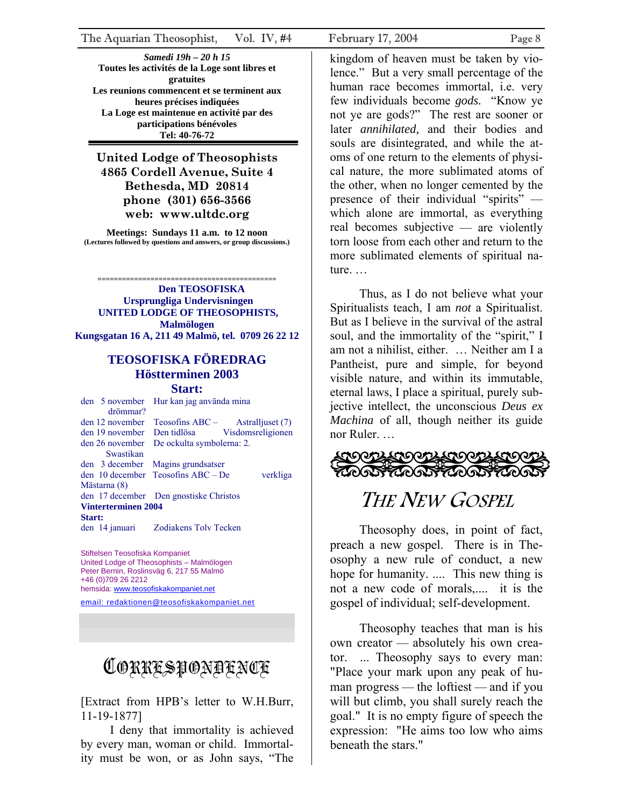<span id="page-7-0"></span>*Samedi 19h – 20 h 15*  **Toutes les activités de la Loge sont libres et gratuites Les reunions commencent et se terminent aux heures précises indiquées La Loge est maintenue en activité par des participations bénévoles Tel: 40-76-72** 

### **United Lodge of Theosophists 4865 Cordell Avenue, Suite 4 Bethesda, MD 20814 phone (301) 656-3566 web: www.ultdc.org**

**Meetings: Sundays 11 a.m. to 12 noon (Lectures followed by questions and answers, or group discussions.)** 

**============================================ Den TEOSOFISKA Ursprungliga Undervisningen UNITED LODGE OF THEOSOPHISTS, Malmölogen Kungsgatan 16 A, 211 49 Malmö, tel. 0709 26 22 12**

### **TEOSOFISKA FÖREDRAG Höstterminen 2003**

### **Start:**

|                            |              | den 5 november – Hur kan jag använda mina          |  |
|----------------------------|--------------|----------------------------------------------------|--|
|                            | drömmar?     |                                                    |  |
|                            |              | $den 12 november$ Teosofins ABC – Astralliuset (7) |  |
|                            |              | den 19 november Den tidlösa Visdomsreligionen      |  |
|                            |              | den 26 november De ockulta symbolerna: 2.          |  |
|                            | Swastikan    |                                                    |  |
|                            |              | den 3 december Magins grundsatser                  |  |
|                            |              | $den$ 10 december Teosofins ABC – De<br>verkliga   |  |
|                            | Mästarna (8) |                                                    |  |
|                            |              | den 17 december Den gnostiske Christos             |  |
| <b>Vinterterminen 2004</b> |              |                                                    |  |
| Start:                     |              |                                                    |  |
|                            |              | den 14 januari Zodiakens Toly Tecken               |  |

Stiftelsen Teosofiska Kompaniet United Lodge of Theosophists – Malmölogen Peter Bernin, Roslinsväg 6, 217 55 Malmö +46 (0)709 26 2212 hemsida: [www.t](http://www.teosofiskakompaniet.net/)eosofiskakompaniet.net

[email: redaktionen@teosofiskakompaniet.net](http://www.teosofiskakompaniet.net/)

# CORRESPONDENCE

[Extract from HPB's letter to W.H.Burr, 11-19-1877]

I deny that immortality is achieved by every man, woman or child. Immortality must be won, or as John says, "The

kingdom of heaven must be taken by violence." But a very small percentage of the human race becomes immortal, i.e. very few individuals become *gods.* "Know ye not ye are gods?" The rest are sooner or later *annihilated,* and their bodies and souls are disintegrated, and while the atoms of one return to the elements of physical nature, the more sublimated atoms of the other, when no longer cemented by the presence of their individual "spirits" which alone are immortal, as everything real becomes subjective — are violently torn loose from each other and return to the more sublimated elements of spiritual nature. …

Thus, as I do not believe what your Spiritualists teach, I am *not* a Spiritualist. But as I believe in the survival of the astral soul, and the immortality of the "spirit," I am not a nihilist, either. … Neither am I a Pantheist, pure and simple, for beyond visible nature, and within its immutable, eternal laws, I place a spiritual, purely subjective intellect, the unconscious *Deus ex Machina* of all, though neither its guide nor Ruler. …



# THE NEW GOSPEL

Theosophy does, in point of fact, preach a new gospel. There is in Theosophy a new rule of conduct, a new hope for humanity. .... This new thing is not a new code of morals,.... it is the gospel of individual; self-development.

Theosophy teaches that man is his own creator — absolutely his own creator. ... Theosophy says to every man: "Place your mark upon any peak of human progress — the loftiest — and if you will but climb, you shall surely reach the goal." It is no empty figure of speech the expression: "He aims too low who aims beneath the stars."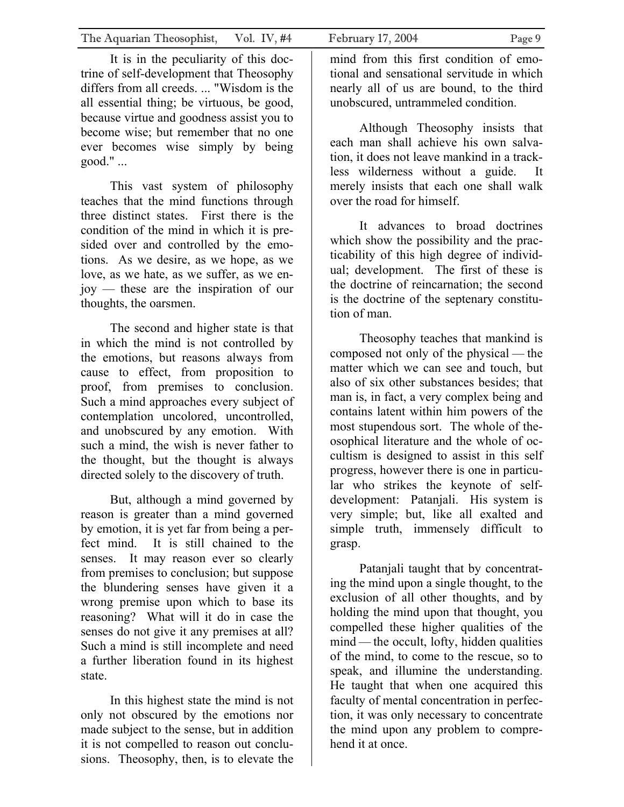It is in the peculiarity of this doctrine of self-development that Theosophy differs from all creeds. ... "Wisdom is the all essential thing; be virtuous, be good, because virtue and goodness assist you to become wise; but remember that no one ever becomes wise simply by being good." ...

This vast system of philosophy teaches that the mind functions through three distinct states. First there is the condition of the mind in which it is presided over and controlled by the emotions. As we desire, as we hope, as we love, as we hate, as we suffer, as we enjoy — these are the inspiration of our thoughts, the oarsmen.

The second and higher state is that in which the mind is not controlled by the emotions, but reasons always from cause to effect, from proposition to proof, from premises to conclusion. Such a mind approaches every subject of contemplation uncolored, uncontrolled, and unobscured by any emotion. With such a mind, the wish is never father to the thought, but the thought is always directed solely to the discovery of truth.

But, although a mind governed by reason is greater than a mind governed by emotion, it is yet far from being a perfect mind. It is still chained to the senses. It may reason ever so clearly from premises to conclusion; but suppose the blundering senses have given it a wrong premise upon which to base its reasoning? What will it do in case the senses do not give it any premises at all? Such a mind is still incomplete and need a further liberation found in its highest state.

In this highest state the mind is not only not obscured by the emotions nor made subject to the sense, but in addition it is not compelled to reason out conclusions. Theosophy, then, is to elevate the

mind from this first condition of emotional and sensational servitude in which nearly all of us are bound, to the third unobscured, untrammeled condition.

Although Theosophy insists that each man shall achieve his own salvation, it does not leave mankind in a trackless wilderness without a guide. It merely insists that each one shall walk over the road for himself.

It advances to broad doctrines which show the possibility and the practicability of this high degree of individual; development. The first of these is the doctrine of reincarnation; the second is the doctrine of the septenary constitution of man.

Theosophy teaches that mankind is composed not only of the physical — the matter which we can see and touch, but also of six other substances besides; that man is, in fact, a very complex being and contains latent within him powers of the most stupendous sort. The whole of theosophical literature and the whole of occultism is designed to assist in this self progress, however there is one in particular who strikes the keynote of selfdevelopment: Patanjali. His system is very simple; but, like all exalted and simple truth, immensely difficult to grasp.

Patanjali taught that by concentrating the mind upon a single thought, to the exclusion of all other thoughts, and by holding the mind upon that thought, you compelled these higher qualities of the mind — the occult, lofty, hidden qualities of the mind, to come to the rescue, so to speak, and illumine the understanding. He taught that when one acquired this faculty of mental concentration in perfection, it was only necessary to concentrate the mind upon any problem to comprehend it at once.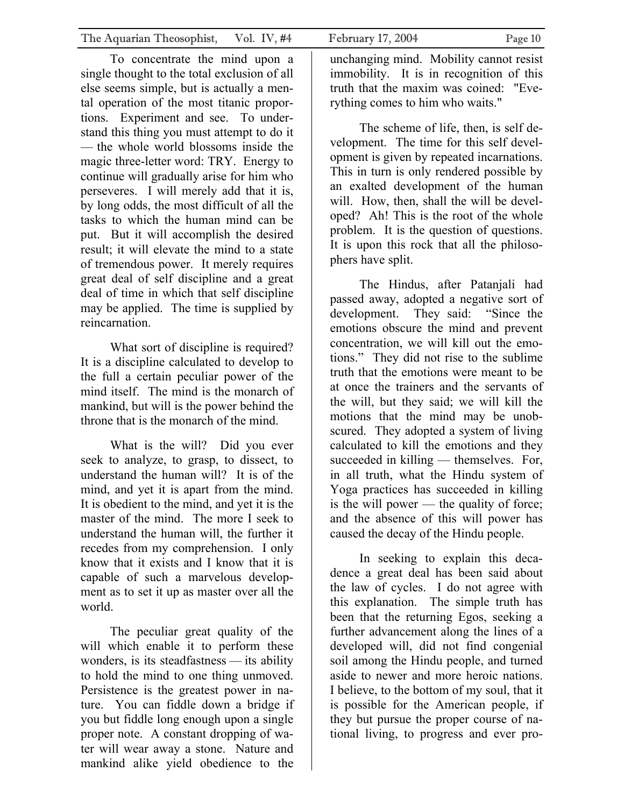To concentrate the mind upon a single thought to the total exclusion of all else seems simple, but is actually a mental operation of the most titanic proportions. Experiment and see. To understand this thing you must attempt to do it — the whole world blossoms inside the magic three-letter word: TRY. Energy to continue will gradually arise for him who perseveres. I will merely add that it is, by long odds, the most difficult of all the tasks to which the human mind can be put. But it will accomplish the desired result; it will elevate the mind to a state of tremendous power. It merely requires great deal of self discipline and a great deal of time in which that self discipline may be applied. The time is supplied by reincarnation.

What sort of discipline is required? It is a discipline calculated to develop to the full a certain peculiar power of the mind itself. The mind is the monarch of mankind, but will is the power behind the throne that is the monarch of the mind.

What is the will? Did you ever seek to analyze, to grasp, to dissect, to understand the human will? It is of the mind, and yet it is apart from the mind. It is obedient to the mind, and yet it is the master of the mind. The more I seek to understand the human will, the further it recedes from my comprehension. I only know that it exists and I know that it is capable of such a marvelous development as to set it up as master over all the world.

The peculiar great quality of the will which enable it to perform these wonders, is its steadfastness — its ability to hold the mind to one thing unmoved. Persistence is the greatest power in nature. You can fiddle down a bridge if you but fiddle long enough upon a single proper note. A constant dropping of water will wear away a stone. Nature and mankind alike yield obedience to the

unchanging mind. Mobility cannot resist immobility. It is in recognition of this truth that the maxim was coined: "Everything comes to him who waits."

The scheme of life, then, is self development. The time for this self development is given by repeated incarnations. This in turn is only rendered possible by an exalted development of the human will. How, then, shall the will be developed? Ah! This is the root of the whole problem. It is the question of questions. It is upon this rock that all the philosophers have split.

The Hindus, after Patanjali had passed away, adopted a negative sort of development. They said: "Since the emotions obscure the mind and prevent concentration, we will kill out the emotions." They did not rise to the sublime truth that the emotions were meant to be at once the trainers and the servants of the will, but they said; we will kill the motions that the mind may be unobscured. They adopted a system of living calculated to kill the emotions and they succeeded in killing — themselves. For, in all truth, what the Hindu system of Yoga practices has succeeded in killing is the will power — the quality of force; and the absence of this will power has caused the decay of the Hindu people.

In seeking to explain this decadence a great deal has been said about the law of cycles. I do not agree with this explanation. The simple truth has been that the returning Egos, seeking a further advancement along the lines of a developed will, did not find congenial soil among the Hindu people, and turned aside to newer and more heroic nations. I believe, to the bottom of my soul, that it is possible for the American people, if they but pursue the proper course of national living, to progress and ever pro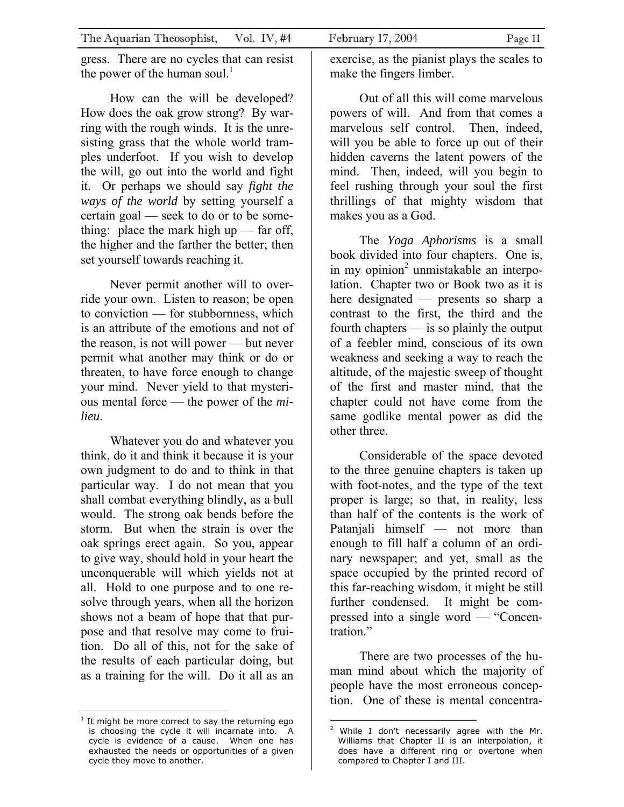gress. There are no cycles that can resist the power of the human soul.<sup>[1](#page-10-0)</sup>

How can the will be developed? How does the oak grow strong? By warring with the rough winds. It is the unresisting grass that the whole world tramples underfoot. If you wish to develop the will, go out into the world and fight it. Or perhaps we should say *fight the ways of the world* by setting yourself a certain goal — seek to do or to be something: place the mark high up — far off, the higher and the farther the better; then set yourself towards reaching it.

Never permit another will to override your own. Listen to reason; be open to conviction — for stubbornness, which is an attribute of the emotions and not of the reason, is not will power — but never permit what another may think or do or threaten, to have force enough to change your mind. Never yield to that mysterious mental force — the power of the *milieu*.

Whatever you do and whatever you think, do it and think it because it is your own judgment to do and to think in that particular way. I do not mean that you shall combat everything blindly, as a bull would. The strong oak bends before the storm. But when the strain is over the oak springs erect again. So you, appear to give way, should hold in your heart the unconquerable will which yields not at all. Hold to one purpose and to one resolve through years, when all the horizon shows not a beam of hope that that purpose and that resolve may come to fruition. Do all of this, not for the sake of the results of each particular doing, but as a training for the will. Do it all as an

<span id="page-10-0"></span> $1$  It might be more correct to say the returning ego is choosing the cycle it will incarnate into. A cycle is evidence of a cause. When one has exhausted the needs or opportunities of a given cycle they move to another.

exercise, as the pianist plays the scales to make the fingers limber.

Out of all this will come marvelous powers of will. And from that comes a marvelous self control. Then, indeed, will you be able to force up out of their hidden caverns the latent powers of the mind. Then, indeed, will you begin to feel rushing through your soul the first thrillings of that mighty wisdom that makes you as a God.

The *Yoga Aphorisms* is a small book divided into four chapters. One is, in my opinion<sup>2</sup> unmistakable an interpolation. Chapter two or Book two as it is here designated — presents so sharp a contrast to the first, the third and the fourth chapters — is so plainly the output of a feebler mind, conscious of its own weakness and seeking a way to reach the altitude, of the majestic sweep of thought of the first and master mind, that the chapter could not have come from the same godlike mental power as did the other three.

Considerable of the space devoted to the three genuine chapters is taken up with foot-notes, and the type of the text proper is large; so that, in reality, less than half of the contents is the work of Patanjali himself — not more than enough to fill half a column of an ordinary newspaper; and yet, small as the space occupied by the printed record of this far-reaching wisdom, it might be still further condensed. It might be compressed into a single word — "Concentration."

There are two processes of the human mind about which the majority of people have the most erroneous conception. One of these is mental concentra-

<span id="page-10-1"></span><sup>&</sup>lt;sup>2</sup> While I don't necessarily agree with the Mr. Williams that Chapter II is an interpolation, it does have a different ring or overtone when compared to Chapter I and III.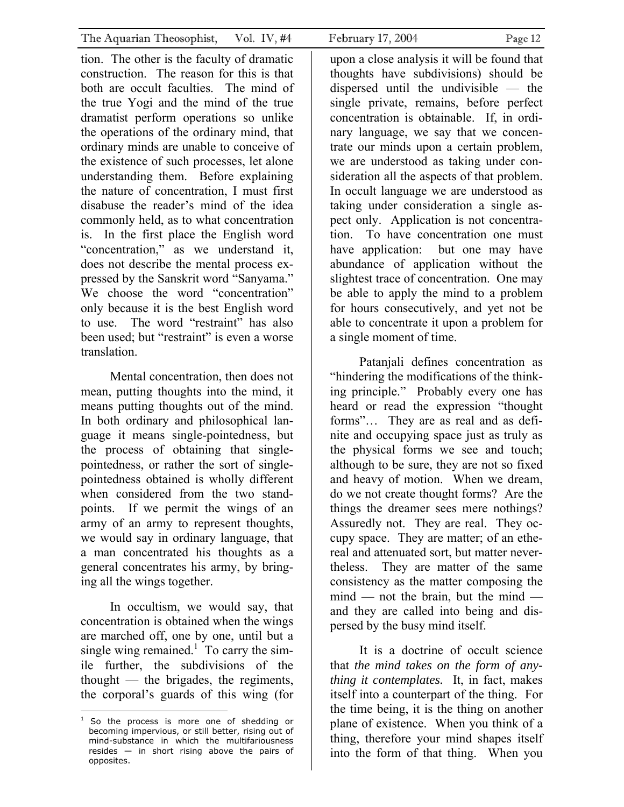tion. The other is the faculty of dramatic construction. The reason for this is that both are occult faculties. The mind of the true Yogi and the mind of the true dramatist perform operations so unlike the operations of the ordinary mind, that ordinary minds are unable to conceive of the existence of such processes, let alone understanding them. Before explaining the nature of concentration, I must first disabuse the reader's mind of the idea commonly held, as to what concentration is. In the first place the English word "concentration," as we understand it, does not describe the mental process expressed by the Sanskrit word "Sanyama." We choose the word "concentration" only because it is the best English word to use. The word "restraint" has also been used; but "restraint" is even a worse translation.

Mental concentration, then does not mean, putting thoughts into the mind, it means putting thoughts out of the mind. In both ordinary and philosophical language it means single-pointedness, but the process of obtaining that singlepointedness, or rather the sort of singlepointedness obtained is wholly different when considered from the two standpoints. If we permit the wings of an army of an army to represent thoughts, we would say in ordinary language, that a man concentrated his thoughts as a general concentrates his army, by bringing all the wings together.

In occultism, we would say, that concentration is obtained when the wings are marched off, one by one, until but a single wing remained.<sup>[1](#page-11-0)</sup> To carry the simile further, the subdivisions of the thought — the brigades, the regiments, the corporal's guards of this wing (for upon a close analysis it will be found that thoughts have subdivisions) should be dispersed until the undivisible — the single private, remains, before perfect concentration is obtainable. If, in ordinary language, we say that we concentrate our minds upon a certain problem, we are understood as taking under consideration all the aspects of that problem. In occult language we are understood as taking under consideration a single aspect only. Application is not concentration. To have concentration one must have application: but one may have abundance of application without the slightest trace of concentration. One may be able to apply the mind to a problem for hours consecutively, and yet not be able to concentrate it upon a problem for a single moment of time.

Patanjali defines concentration as "hindering the modifications of the thinking principle." Probably every one has heard or read the expression "thought forms"… They are as real and as definite and occupying space just as truly as the physical forms we see and touch; although to be sure, they are not so fixed and heavy of motion. When we dream, do we not create thought forms? Are the things the dreamer sees mere nothings? Assuredly not. They are real. They occupy space. They are matter; of an ethereal and attenuated sort, but matter nevertheless. They are matter of the same consistency as the matter composing the mind — not the brain, but the mind and they are called into being and dispersed by the busy mind itself.

It is a doctrine of occult science that *the mind takes on the form of anything it contemplates.* It, in fact, makes itself into a counterpart of the thing. For the time being, it is the thing on another plane of existence. When you think of a thing, therefore your mind shapes itself into the form of that thing. When you

<span id="page-11-0"></span> 1 So the process is more one of shedding or becoming impervious, or still better, rising out of mind-substance in which the multifariousness resides — in short rising above the pairs of opposites.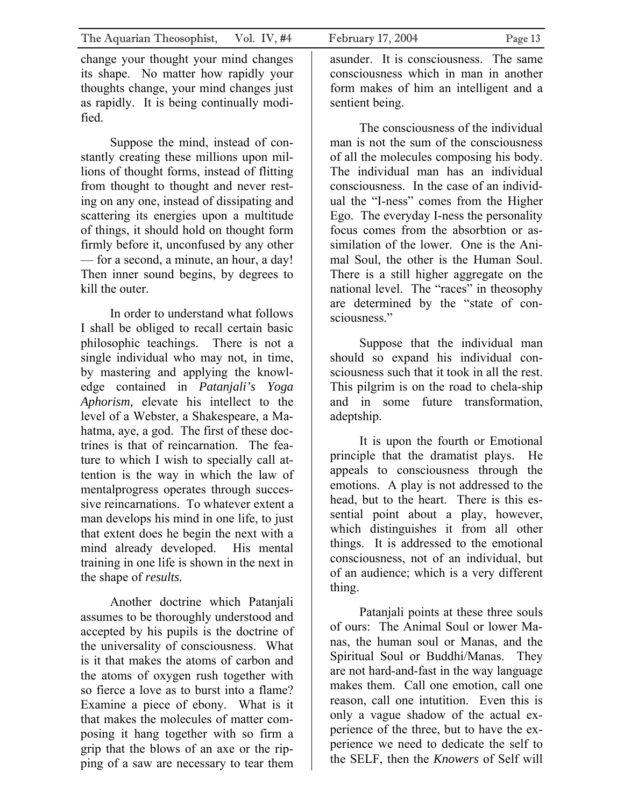change your thought your mind changes its shape. No matter how rapidly your thoughts change, your mind changes just as rapidly. It is being continually modified.

Suppose the mind, instead of constantly creating these millions upon millions of thought forms, instead of flitting from thought to thought and never resting on any one, instead of dissipating and scattering its energies upon a multitude of things, it should hold on thought form firmly before it, unconfused by any other — for a second, a minute, an hour, a day! Then inner sound begins, by degrees to kill the outer.

In order to understand what follows I shall be obliged to recall certain basic philosophic teachings. There is not a single individual who may not, in time, by mastering and applying the knowledge contained in *Patanjali's Yoga Aphorism,* elevate his intellect to the level of a Webster, a Shakespeare, a Mahatma, aye, a god. The first of these doctrines is that of reincarnation. The feature to which I wish to specially call attention is the way in which the law of mentalprogress operates through successive reincarnations. To whatever extent a man develops his mind in one life, to just that extent does he begin the next with a mind already developed. His mental training in one life is shown in the next in the shape of *results.* 

Another doctrine which Patanjali assumes to be thoroughly understood and accepted by his pupils is the doctrine of the universality of consciousness. What is it that makes the atoms of carbon and the atoms of oxygen rush together with so fierce a love as to burst into a flame? Examine a piece of ebony. What is it that makes the molecules of matter composing it hang together with so firm a grip that the blows of an axe or the ripping of a saw are necessary to tear them

The consciousness of the individual man is not the sum of the consciousness of all the molecules composing his body. The individual man has an individual consciousness. In the case of an individual the "I-ness" comes from the Higher Ego. The everyday I-ness the personality focus comes from the absorbtion or assimilation of the lower. One is the Animal Soul, the other is the Human Soul. There is a still higher aggregate on the national level. The "races" in theosophy are determined by the "state of consciousness."

Suppose that the individual man should so expand his individual consciousness such that it took in all the rest. This pilgrim is on the road to chela-ship and in some future transformation, adeptship.

It is upon the fourth or Emotional principle that the dramatist plays. He appeals to consciousness through the emotions. A play is not addressed to the head, but to the heart. There is this essential point about a play, however, which distinguishes it from all other things. It is addressed to the emotional consciousness, not of an individual, but of an audience; which is a very different thing.

Patanjali points at these three souls of ours: The Animal Soul or lower Manas, the human soul or Manas, and the Spiritual Soul or Buddhi/Manas. They are not hard-and-fast in the way language makes them. Call one emotion, call one reason, call one intutition. Even this is only a vague shadow of the actual experience of the three, but to have the experience we need to dedicate the self to the SELF, then the *Knowers* of Self will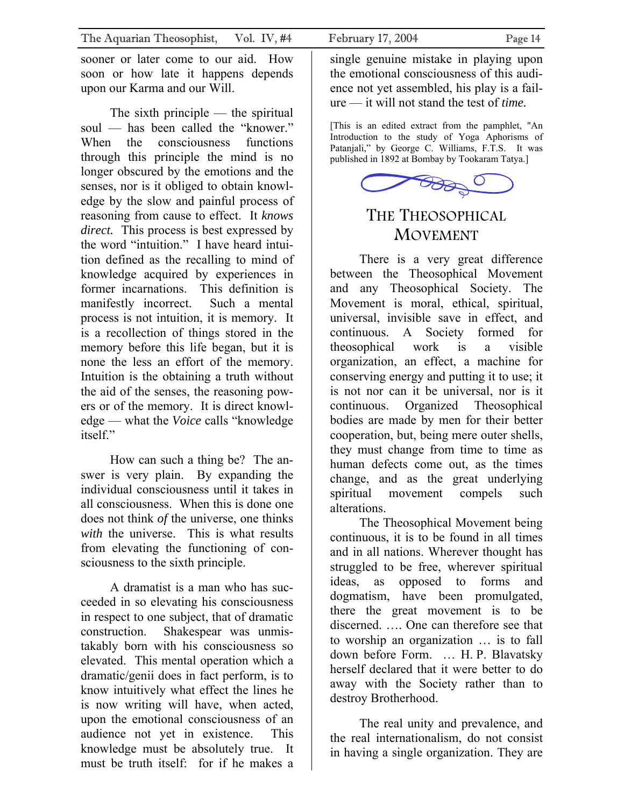<span id="page-13-0"></span>sooner or later come to our aid. How soon or how late it happens depends upon our Karma and our Will.

The sixth principle — the spiritual soul — has been called the "knower." When the consciousness functions through this principle the mind is no longer obscured by the emotions and the senses, nor is it obliged to obtain knowledge by the slow and painful process of reasoning from cause to effect. It *knows direct.* This process is best expressed by the word "intuition." I have heard intuition defined as the recalling to mind of knowledge acquired by experiences in former incarnations. This definition is manifestly incorrect. Such a mental process is not intuition, it is memory. It is a recollection of things stored in the memory before this life began, but it is none the less an effort of the memory. Intuition is the obtaining a truth without the aid of the senses, the reasoning powers or of the memory. It is direct knowledge — what the *Voice* calls "knowledge itself."

How can such a thing be? The answer is very plain. By expanding the individual consciousness until it takes in all consciousness. When this is done one does not think *of* the universe, one thinks *with* the universe. This is what results from elevating the functioning of consciousness to the sixth principle.

A dramatist is a man who has succeeded in so elevating his consciousness in respect to one subject, that of dramatic construction. Shakespear was unmistakably born with his consciousness so elevated. This mental operation which a dramatic/genii does in fact perform, is to know intuitively what effect the lines he is now writing will have, when acted, upon the emotional consciousness of an audience not yet in existence. This knowledge must be absolutely true. It must be truth itself: for if he makes a

single genuine mistake in playing upon the emotional consciousness of this audience not yet assembled, his play is a failure — it will not stand the test of *time.*

[This is an edited extract from the pamphlet, "An Introduction to the study of Yoga Aphorisms of Patanjali," by George C. Williams, F.T.S. It was published in 1892 at Bombay by Tookaram Tatya.]

BANO

### THE THEOSOPHICAL MOVEMENT

There is a very great difference between the Theosophical Movement and any Theosophical Society. The Movement is moral, ethical, spiritual, universal, invisible save in effect, and continuous. A Society formed for theosophical work is a visible organization, an effect, a machine for conserving energy and putting it to use; it is not nor can it be universal, nor is it continuous. Organized Theosophical bodies are made by men for their better cooperation, but, being mere outer shells, they must change from time to time as human defects come out, as the times change, and as the great underlying spiritual movement compels such alterations.

The Theosophical Movement being continuous, it is to be found in all times and in all nations. Wherever thought has struggled to be free, wherever spiritual ideas, as opposed to forms and dogmatism, have been promulgated, there the great movement is to be discerned. …. One can therefore see that to worship an organization … is to fall down before Form. … H. P. Blavatsky herself declared that it were better to do away with the Society rather than to destroy Brotherhood.

The real unity and prevalence, and the real internationalism, do not consist in having a single organization. They are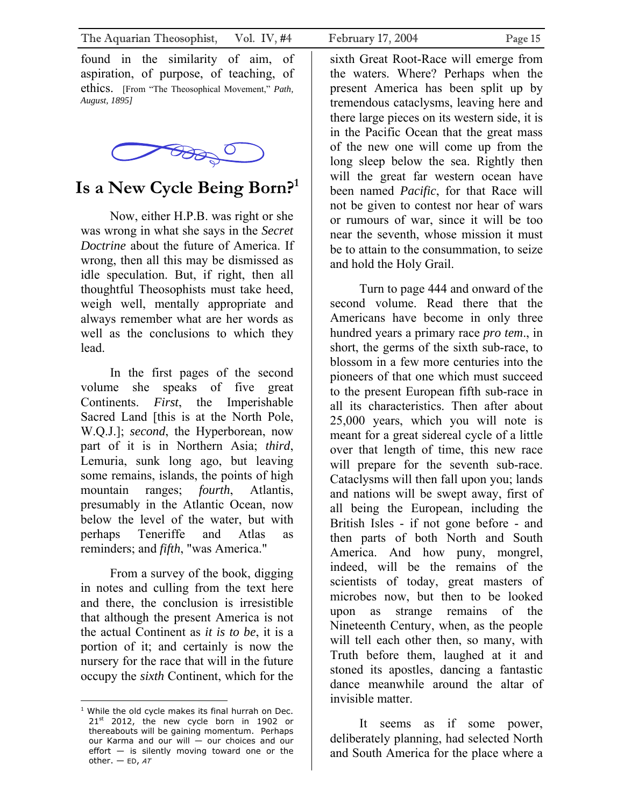<span id="page-14-0"></span>found in the similarity of aim, of aspiration, of purpose, of teaching, of ethics. [From "The Theosophical Movement," *Path, August, 1895]*



### **Is a New Cycle Being Born?[1](#page-14-1)**

Now, either H.P.B. was right or she was wrong in what she says in the *Secret Doctrine* about the future of America. If wrong, then all this may be dismissed as idle speculation. But, if right, then all thoughtful Theosophists must take heed, weigh well, mentally appropriate and always remember what are her words as well as the conclusions to which they lead.

In the first pages of the second volume she speaks of five great Continents. *First*, the Imperishable Sacred Land [this is at the North Pole, W.Q.J.]; *second*, the Hyperborean, now part of it is in Northern Asia; *third*, Lemuria, sunk long ago, but leaving some remains, islands, the points of high mountain ranges; *fourth*, Atlantis, presumably in the Atlantic Ocean, now below the level of the water, but with perhaps Teneriffe and Atlas as reminders; and *fifth*, "was America."

From a survey of the book, digging in notes and culling from the text here and there, the conclusion is irresistible that although the present America is not the actual Continent as *it is to be*, it is a portion of it; and certainly is now the nursery for the race that will in the future occupy the *sixth* Continent, which for the

sixth Great Root-Race will emerge from the waters. Where? Perhaps when the present America has been split up by tremendous cataclysms, leaving here and there large pieces on its western side, it is in the Pacific Ocean that the great mass of the new one will come up from the long sleep below the sea. Rightly then will the great far western ocean have been named *Pacific*, for that Race will not be given to contest nor hear of wars or rumours of war, since it will be too near the seventh, whose mission it must be to attain to the consummation, to seize and hold the Holy Grail.

Turn to page 444 and onward of the second volume. Read there that the Americans have become in only three hundred years a primary race *pro tem*., in short, the germs of the sixth sub-race, to blossom in a few more centuries into the pioneers of that one which must succeed to the present European fifth sub-race in all its characteristics. Then after about 25,000 years, which you will note is meant for a great sidereal cycle of a little over that length of time, this new race will prepare for the seventh sub-race. Cataclysms will then fall upon you; lands and nations will be swept away, first of all being the European, including the British Isles - if not gone before - and then parts of both North and South America. And how puny, mongrel, indeed, will be the remains of the scientists of today, great masters of microbes now, but then to be looked upon as strange remains of the Nineteenth Century, when, as the people will tell each other then, so many, with Truth before them, laughed at it and stoned its apostles, dancing a fantastic dance meanwhile around the altar of invisible matter.

It seems as if some power, deliberately planning, had selected North and South America for the place where a

<span id="page-14-1"></span>  $1$  While the old cycle makes its final hurrah on Dec.  $21<sup>st</sup>$  2012, the new cycle born in 1902 or thereabouts will be gaining momentum. Perhaps our Karma and our will — our choices and our effort — is silently moving toward one or the other.  $-$  ED,  $AT$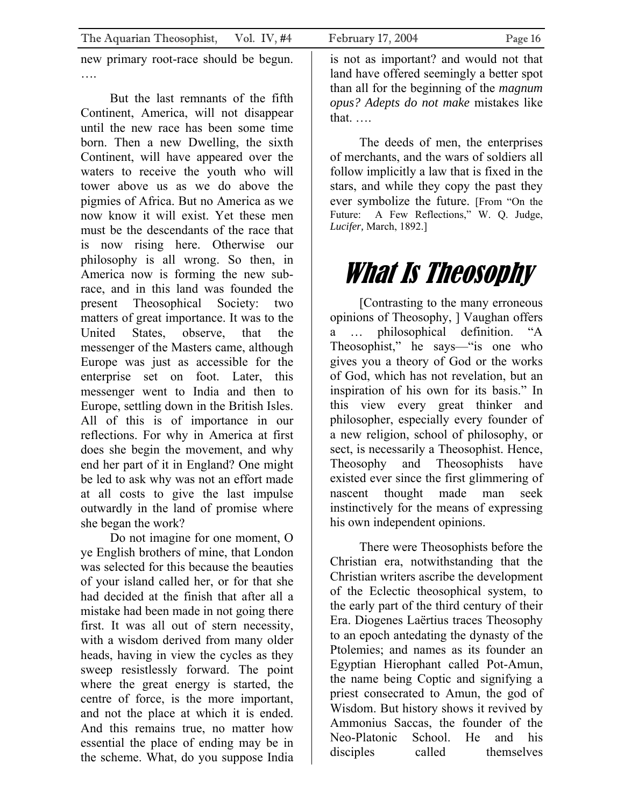<span id="page-15-0"></span>new primary root-race should be begun. ….

But the last remnants of the fifth Continent, America, will not disappear until the new race has been some time born. Then a new Dwelling, the sixth Continent, will have appeared over the waters to receive the youth who will tower above us as we do above the pigmies of Africa. But no America as we now know it will exist. Yet these men must be the descendants of the race that is now rising here. Otherwise our philosophy is all wrong. So then, in America now is forming the new subrace, and in this land was founded the present Theosophical Society: two matters of great importance. It was to the United States, observe, that the messenger of the Masters came, although Europe was just as accessible for the enterprise set on foot. Later, this messenger went to India and then to Europe, settling down in the British Isles. All of this is of importance in our reflections. For why in America at first does she begin the movement, and why end her part of it in England? One might be led to ask why was not an effort made at all costs to give the last impulse outwardly in the land of promise where she began the work?

Do not imagine for one moment, O ye English brothers of mine, that London was selected for this because the beauties of your island called her, or for that she had decided at the finish that after all a mistake had been made in not going there first. It was all out of stern necessity, with a wisdom derived from many older heads, having in view the cycles as they sweep resistlessly forward. The point where the great energy is started, the centre of force, is the more important, and not the place at which it is ended. And this remains true, no matter how essential the place of ending may be in the scheme. What, do you suppose India

is not as important? and would not that land have offered seemingly a better spot than all for the beginning of the *magnum opus? Adepts do not make* mistakes like that. ….

The deeds of men, the enterprises of merchants, and the wars of soldiers all follow implicitly a law that is fixed in the stars, and while they copy the past they ever symbolize the future. [From "On the Future: A Few Reflections," W. Q. Judge, *Lucifer,* March, 1892.]

# What Is Theosophy

[Contrasting to the many erroneous opinions of Theosophy, ] Vaughan offers a … philosophical definition. "A Theosophist," he says—"is one who gives you a theory of God or the works of God, which has not revelation, but an inspiration of his own for its basis." In this view every great thinker and philosopher, especially every founder of a new religion, school of philosophy, or sect, is necessarily a Theosophist. Hence, Theosophy and Theosophists have existed ever since the first glimmering of nascent thought made man seek instinctively for the means of expressing his own independent opinions.

There were Theosophists before the Christian era, notwithstanding that the Christian writers ascribe the development of the Eclectic theosophical system, to the early part of the third century of their Era. Diogenes Laërtius traces Theosophy to an epoch antedating the dynasty of the Ptolemies; and names as its founder an Egyptian Hierophant called Pot-Amun, the name being Coptic and signifying a priest consecrated to Amun, the god of Wisdom. But history shows it revived by Ammonius Saccas, the founder of the Neo-Platonic School. He and his disciples called themselves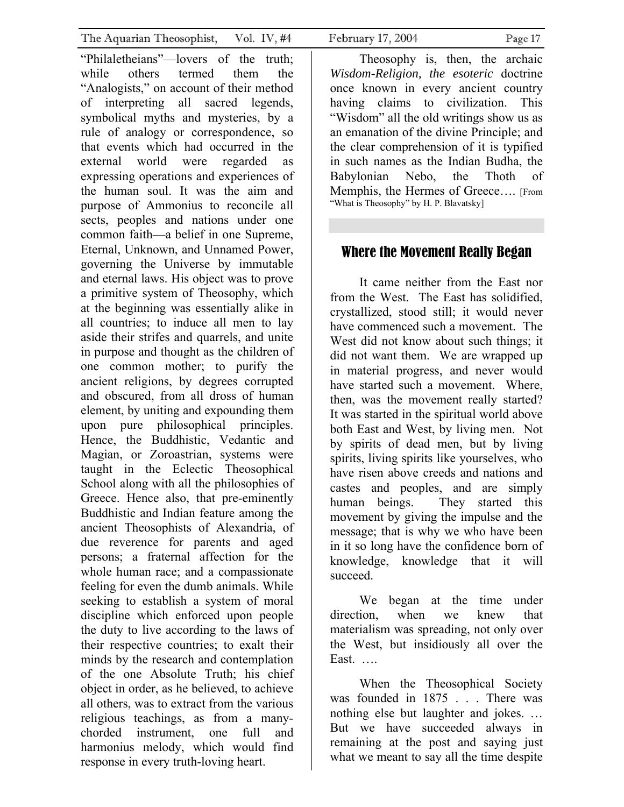"Philaletheians"—lovers of the truth; while others termed them the "Analogists," on account of their method of interpreting all sacred legends, symbolical myths and mysteries, by a rule of analogy or correspondence, so that events which had occurred in the external world were regarded as expressing operations and experiences of the human soul. It was the aim and purpose of Ammonius to reconcile all sects, peoples and nations under one common faith—a belief in one Supreme, Eternal, Unknown, and Unnamed Power, governing the Universe by immutable and eternal laws. His object was to prove a primitive system of Theosophy, which at the beginning was essentially alike in all countries; to induce all men to lay aside their strifes and quarrels, and unite in purpose and thought as the children of one common mother; to purify the ancient religions, by degrees corrupted and obscured, from all dross of human element, by uniting and expounding them upon pure philosophical principles. Hence, the Buddhistic, Vedantic and Magian, or Zoroastrian, systems were taught in the Eclectic Theosophical School along with all the philosophies of Greece. Hence also, that pre-eminently Buddhistic and Indian feature among the ancient Theosophists of Alexandria, of due reverence for parents and aged persons; a fraternal affection for the whole human race; and a compassionate feeling for even the dumb animals. While seeking to establish a system of moral discipline which enforced upon people the duty to live according to the laws of their respective countries; to exalt their minds by the research and contemplation of the one Absolute Truth; his chief object in order, as he believed, to achieve all others, was to extract from the various religious teachings, as from a manychorded instrument, one full and harmonius melody, which would find response in every truth-loving heart.

Theosophy is, then, the archaic *Wisdom-Religion, the esoteric* doctrine once known in every ancient country having claims to civilization. This "Wisdom" all the old writings show us as an emanation of the divine Principle; and the clear comprehension of it is typified in such names as the Indian Budha, the Babylonian Nebo, the Thoth of Memphis, the Hermes of Greece…. [From "What is Theosophy" by H. P. Blavatsky]

### Where the Movement Really Began

It came neither from the East nor from the West. The East has solidified, crystallized, stood still; it would never have commenced such a movement. The West did not know about such things; it did not want them. We are wrapped up in material progress, and never would have started such a movement. Where, then, was the movement really started? It was started in the spiritual world above both East and West, by living men. Not by spirits of dead men, but by living spirits, living spirits like yourselves, who have risen above creeds and nations and castes and peoples, and are simply human beings. They started this movement by giving the impulse and the message; that is why we who have been in it so long have the confidence born of knowledge, knowledge that it will succeed.

We began at the time under direction, when we knew that materialism was spreading, not only over the West, but insidiously all over the East. ….

When the Theosophical Society was founded in 1875 . . . There was nothing else but laughter and jokes. … But we have succeeded always in remaining at the post and saying just what we meant to say all the time despite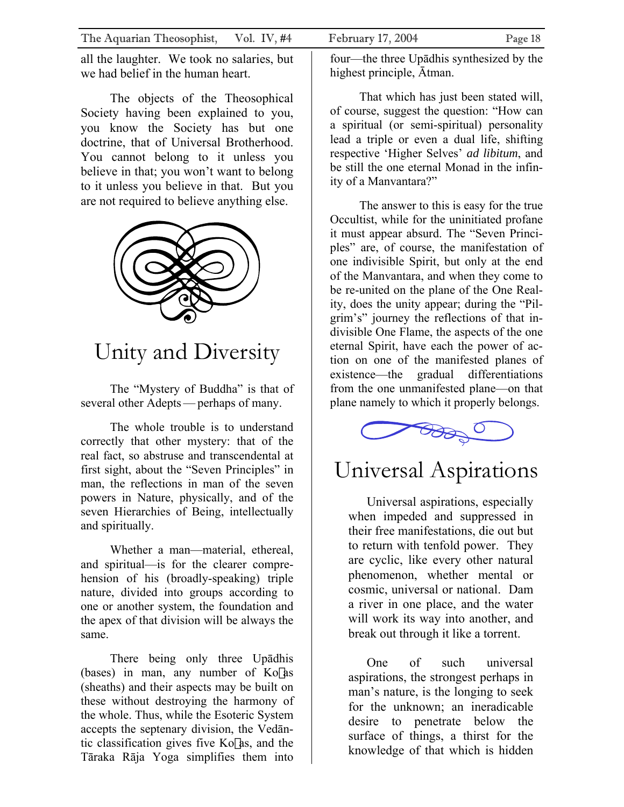<span id="page-17-0"></span>all the laughter. We took no salaries, but we had belief in the human heart.

The objects of the Theosophical Society having been explained to you, you know the Society has but one doctrine, that of Universal Brotherhood. You cannot belong to it unless you believe in that; you won't want to belong to it unless you believe in that. But you are not required to believe anything else.



# Unity and Diversity

The "Mystery of Buddha" is that of several other Adepts—perhaps of many.

The whole trouble is to understand correctly that other mystery: that of the real fact, so abstruse and transcendental at first sight, about the "Seven Principles" in man, the reflections in man of the seven powers in Nature, physically, and of the seven Hierarchies of Being, intellectually and spiritually.

Whether a man—material, ethereal, and spiritual—is for the clearer comprehension of his (broadly-speaking) triple nature, divided into groups according to one or another system, the foundation and the apex of that division will be always the same.

There being only three Upādhis (bases) in man, any number of Ko as (sheaths) and their aspects may be built on these without destroying the harmony of the whole. Thus, while the Esoteric System accepts the septenary division, the Vedāntic classification gives five Ko as, and the Tāraka Rāja Yoga simplifies them into

four—the three Upādhis synthesized by the highest principle, Ātman.

That which has just been stated will, of course, suggest the question: "How can a spiritual (or semi-spiritual) personality lead a triple or even a dual life, shifting respective 'Higher Selves' *ad libitum*, and be still the one eternal Monad in the infinity of a Manvantara?"

The answer to this is easy for the true Occultist, while for the uninitiated profane it must appear absurd. The "Seven Principles" are, of course, the manifestation of one indivisible Spirit, but only at the end of the Manvantara, and when they come to be re-united on the plane of the One Reality, does the unity appear; during the "Pilgrim's" journey the reflections of that indivisible One Flame, the aspects of the one eternal Spirit, have each the power of action on one of the manifested planes of existence—the gradual differentiations from the one unmanifested plane—on that plane namely to which it properly belongs.



# Universal Aspirations

Universal aspirations, especially when impeded and suppressed in their free manifestations, die out but to return with tenfold power. They are cyclic, like every other natural phenomenon, whether mental or cosmic, universal or national. Dam a river in one place, and the water will work its way into another, and break out through it like a torrent.

One of such universal aspirations, the strongest perhaps in man's nature, is the longing to seek for the unknown; an ineradicable desire to penetrate below the surface of things, a thirst for the knowledge of that which is hidden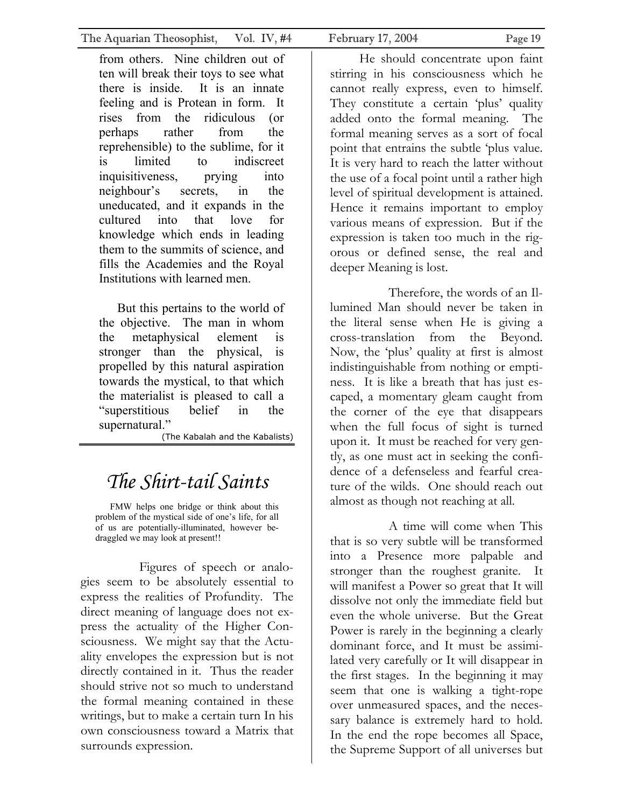<span id="page-18-0"></span>from others. Nine children out of ten will break their toys to see what there is inside. It is an innate feeling and is Protean in form. It rises from the ridiculous (or perhaps rather from the reprehensible) to the sublime, for it is limited to indiscreet inquisitiveness, prying into neighbour's secrets, in the uneducated, and it expands in the cultured into that love for knowledge which ends in leading them to the summits of science, and fills the Academies and the Royal Institutions with learned men.

But this pertains to the world of the objective. The man in whom the metaphysical element is stronger than the physical, is propelled by this natural aspiration towards the mystical, to that which the materialist is pleased to call a "superstitious belief in the supernatural."

(The Kabalah and the Kabalists)

# *The Shirt-tail Saints*

FMW helps one bridge or think about this problem of the mystical side of one's life, for all of us are potentially-illuminated, however bedraggled we may look at present!!

 Figures of speech or analogies seem to be absolutely essential to express the realities of Profundity. The direct meaning of language does not express the actuality of the Higher Consciousness. We might say that the Actuality envelopes the expression but is not directly contained in it. Thus the reader should strive not so much to understand the formal meaning contained in these writings, but to make a certain turn In his own consciousness toward a Matrix that surrounds expression.

He should concentrate upon faint stirring in his consciousness which he cannot really express, even to himself. They constitute a certain 'plus' quality added onto the formal meaning. The formal meaning serves as a sort of focal point that entrains the subtle 'plus value. It is very hard to reach the latter without the use of a focal point until a rather high level of spiritual development is attained. Hence it remains important to employ various means of expression. But if the expression is taken too much in the rigorous or defined sense, the real and deeper Meaning is lost.

 Therefore, the words of an Illumined Man should never be taken in the literal sense when He is giving a cross-translation from the Beyond. Now, the 'plus' quality at first is almost indistinguishable from nothing or emptiness. It is like a breath that has just escaped, a momentary gleam caught from the corner of the eye that disappears when the full focus of sight is turned upon it. It must be reached for very gently, as one must act in seeking the confidence of a defenseless and fearful creature of the wilds. One should reach out almost as though not reaching at all.

 A time will come when This that is so very subtle will be transformed into a Presence more palpable and stronger than the roughest granite. It will manifest a Power so great that It will dissolve not only the immediate field but even the whole universe. But the Great Power is rarely in the beginning a clearly dominant force, and It must be assimilated very carefully or It will disappear in the first stages. In the beginning it may seem that one is walking a tight-rope over unmeasured spaces, and the necessary balance is extremely hard to hold. In the end the rope becomes all Space, the Supreme Support of all universes but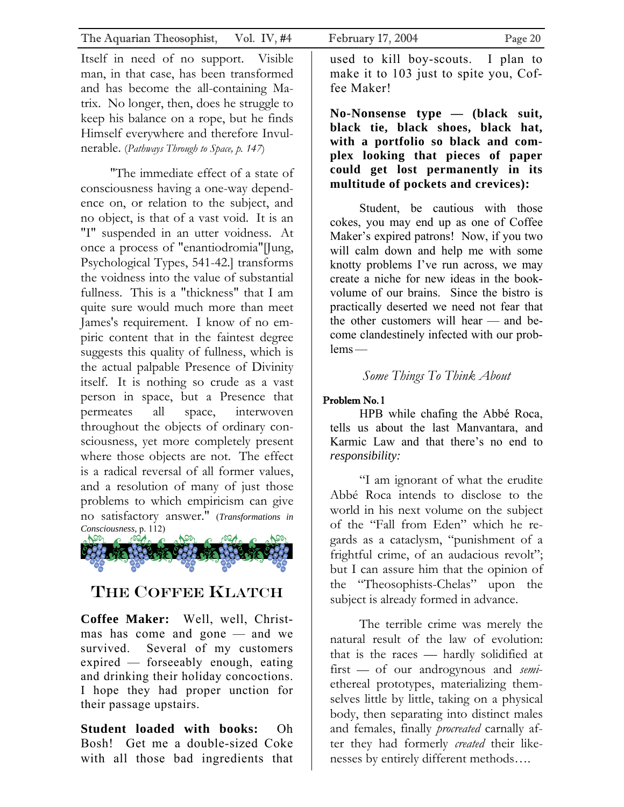<span id="page-19-0"></span>Itself in need of no support. Visible man, in that case, has been transformed and has become the all-containing Matrix. No longer, then, does he struggle to keep his balance on a rope, but he finds Himself everywhere and therefore Invulnerable. (*Pathways Through to Space, p. 147*)

"The immediate effect of a state of consciousness having a one-way dependence on, or relation to the subject, and no object, is that of a vast void. It is an "I" suspended in an utter voidness. At once a process of "enantiodromia"[Jung, Psychological Types, 541-42.] transforms the voidness into the value of substantial fullness. This is a "thickness" that I am quite sure would much more than meet James's requirement. I know of no empiric content that in the faintest degree suggests this quality of fullness, which is the actual palpable Presence of Divinity itself. It is nothing so crude as a vast person in space, but a Presence that permeates all space, interwoven throughout the objects of ordinary consciousness, yet more completely present where those objects are not. The effect is a radical reversal of all former values, and a resolution of many of just those problems to which empiricism can give no satisfactory answer." (*Transformations in Consciousness,* p. 112)



### THE COFFEE KLATCH

**Coffee Maker:** Well, well, Christmas has come and gone — and we survived. Several of my customers expired — forseeably enough, eating and drinking their holiday concoctions. I hope they had proper unction for their passage upstairs.

**Student loaded with books:** Oh Bosh! Get me a double-sized Coke with all those bad ingredients that

used to kill boy-scouts. I plan to make it to 103 just to spite you, Coffee Maker!

**No-Nonsense type — (black suit, black tie, black shoes, black hat, with a portfolio so black and complex looking that pieces of paper could get lost permanently in its multitude of pockets and crevices):** 

Student, be cautious with those cokes, you may end up as one of Coffee Maker's expired patrons! Now, if you two will calm down and help me with some knotty problems I've run across, we may create a niche for new ideas in the bookvolume of our brains. Since the bistro is practically deserted we need not fear that the other customers will hear — and become clandestinely infected with our problems—

### *Some Things To Think About*

### Problem No. l

HPB while chafing the Abbé Roca, tells us about the last Manvantara, and Karmic Law and that there's no end to *responsibility:*

"I am ignorant of what the erudite Abbé Roca intends to disclose to the world in his next volume on the subject of the "Fall from Eden" which he regards as a cataclysm, "punishment of a frightful crime, of an audacious revolt"; but I can assure him that the opinion of the "Theosophists-Chelas" upon the subject is already formed in advance.

The terrible crime was merely the natural result of the law of evolution: that is the races — hardly solidified at first — of our androgynous and *semi*ethereal prototypes, materializing themselves little by little, taking on a physical body, then separating into distinct males and females, finally *procreated* carnally after they had formerly *created* their likenesses by entirely different methods….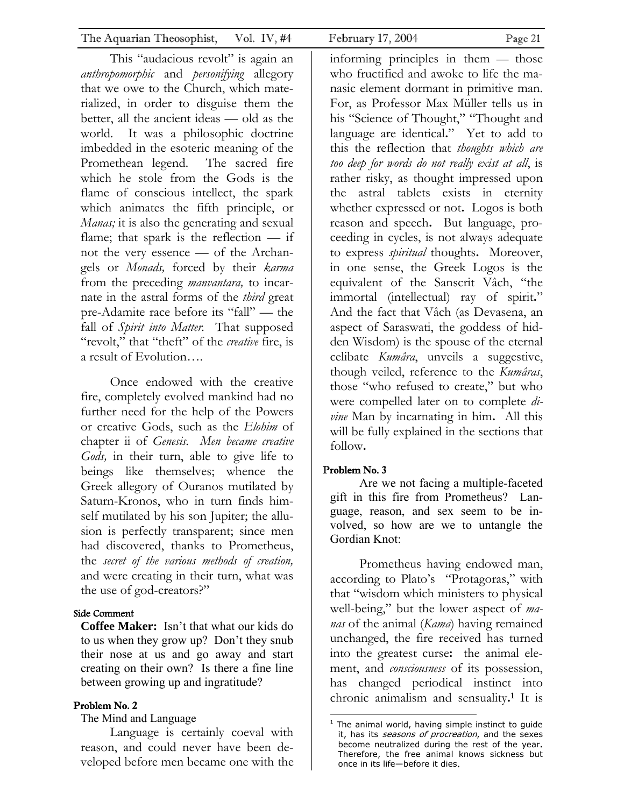This "audacious revolt" is again an *anthropomorphic* and *personifying* allegory that we owe to the Church, which materialized, in order to disguise them the better, all the ancient ideas — old as the world. It was a philosophic doctrine imbedded in the esoteric meaning of the Promethean legend. The sacred fire which he stole from the Gods is the flame of conscious intellect, the spark which animates the fifth principle, or *Manas;* it is also the generating and sexual flame; that spark is the reflection  $-$  if not the very essence — of the Archangels or *Monads,* forced by their *karma*  from the preceding *manvantara,* to incarnate in the astral forms of the *third* great pre-Adamite race before its "fall" — the fall of *Spirit into Matter.* That supposed "revolt," that "theft" of the *creative* fire, is a result of Evolution….

Once endowed with the creative fire, completely evolved mankind had no further need for the help of the Powers or creative Gods, such as the *Elohim* of chapter ii of *Genesis. Men became creative Gods,* in their turn, able to give life to beings like themselves; whence the Greek allegory of Ouranos mutilated by Saturn-Kronos, who in turn finds himself mutilated by his son Jupiter; the allusion is perfectly transparent; since men had discovered, thanks to Prometheus, the *secret of the various methods of creation,*  and were creating in their turn, what was the use of god-creators?"

### Side Comment

**Coffee Maker:** Isn't that what our kids do to us when they grow up? Don't they snub their nose at us and go away and start creating on their own? Is there a fine line between growing up and ingratitude?

### Problem No. 2

The Mind and Language

Language is certainly coeval with reason, and could never have been developed before men became one with the

informing principles in them — those who fructified and awoke to life the manasic element dormant in primitive man. For, as Professor Max Müller tells us in his "Science of Thought," "Thought and language are identical**.**" Yet to add to this the reflection that *thoughts which are too deep for words do not really exist at all*, is rather risky, as thought impressed upon the astral tablets exists in eternity whether expressed or not**.** Logos is both reason and speech**.** But language, proceeding in cycles, is not always adequate to express *spiritual* thoughts**.** Moreover, in one sense, the Greek Logos is the equivalent of the Sanscrit Vâch, "the immortal (intellectual) ray of spirit**.**" And the fact that Vâch (as Devasena, an aspect of Saraswati, the goddess of hidden Wisdom) is the spouse of the eternal celibate *Kumâra*, unveils a suggestive, though veiled, reference to the *Kumâras*, those "who refused to create," but who were compelled later on to complete *divine* Man by incarnating in him**.** All this will be fully explained in the sections that

### Problem No. 3

follow**.**

Are we not facing a multiple-faceted gift in this fire from Prometheus? Language, reason, and sex seem to be involved, so how are we to untangle the Gordian Knot:

Prometheus having endowed man, according to Plato's "Protagoras," with that "wisdom which ministers to physical well-being," but the lower aspect of *manas* of the animal (*Kama*) having remained unchanged, the fire received has turned into the greatest curse**:** the animal element, and *consciousness* of its possession, has changed periodical instinct into chronic animalism and sensuality**[.1](#page-20-0)** It is

<span id="page-20-0"></span>  $1$  The animal world, having simple instinct to guide it, has its seasons of procreation, and the sexes become neutralized during the rest of the year. Therefore, the free animal knows sickness but once in its life—before it dies.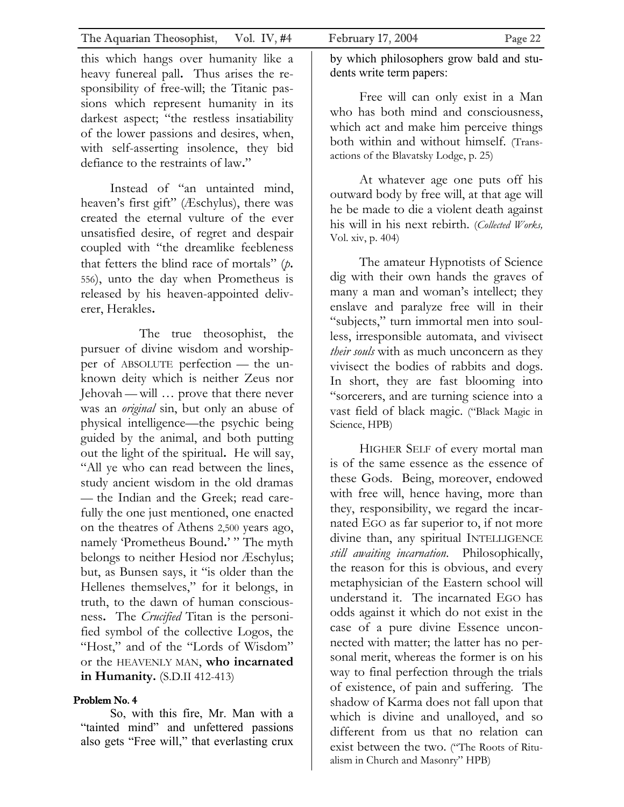this which hangs over humanity like a heavy funereal pall**.** Thus arises the responsibility of free-will; the Titanic passions which represent humanity in its darkest aspect; "the restless insatiability of the lower passions and desires, when, with self-asserting insolence, they bid defiance to the restraints of law**.**"

Instead of "an untainted mind, heaven's first gift" (Æschylus), there was created the eternal vulture of the ever unsatisfied desire, of regret and despair coupled with "the dreamlike feebleness that fetters the blind race of mortals" (*p.* 556), unto the day when Prometheus is released by his heaven-appointed deliverer, Herakles**.**

 The true theosophist, the pursuer of divine wisdom and worshipper of ABSOLUTE perfection — the unknown deity which is neither Zeus nor Jehovah — will … prove that there never was an *original* sin, but only an abuse of physical intelligence—the psychic being guided by the animal, and both putting out the light of the spiritual**.** He will say, "All ye who can read between the lines, study ancient wisdom in the old dramas — the Indian and the Greek; read carefully the one just mentioned, one enacted on the theatres of Athens 2,500 years ago, namely 'Prometheus Bound**.**' " The myth belongs to neither Hesiod nor Æschylus; but, as Bunsen says, it "is older than the Hellenes themselves," for it belongs, in truth, to the dawn of human consciousness**.** The *Crucified* Titan is the personified symbol of the collective Logos, the "Host," and of the "Lords of Wisdom" or the HEAVENLY MAN, **who incarnated in Humanity.** (S.D.II 412-413)

### Problem No. 4

So, with this fire, Mr. Man with a "tainted mind" and unfettered passions also gets "Free will," that everlasting crux

by which philosophers grow bald and students write term papers:

Free will can only exist in a Man who has both mind and consciousness, which act and make him perceive things both within and without himself. (Transactions of the Blavatsky Lodge, p. 25)

At whatever age one puts off his outward body by free will, at that age will he be made to die a violent death against his will in his next rebirth. (*Collected Works,*  Vol. xiv, p. 404)

The amateur Hypnotists of Science dig with their own hands the graves of many a man and woman's intellect; they enslave and paralyze free will in their "subjects," turn immortal men into soulless, irresponsible automata, and vivisect *their souls* with as much unconcern as they vivisect the bodies of rabbits and dogs. In short, they are fast blooming into "sorcerers, and are turning science into a vast field of black magic. ("Black Magic in Science, HPB)

HIGHER SELF of every mortal man is of the same essence as the essence of these Gods. Being, moreover, endowed with free will, hence having, more than they, responsibility, we regard the incarnated EGO as far superior to, if not more divine than, any spiritual INTELLIGENCE *still awaiting incarnation*. Philosophically, the reason for this is obvious, and every metaphysician of the Eastern school will understand it. The incarnated EGO has odds against it which do not exist in the case of a pure divine Essence unconnected with matter; the latter has no personal merit, whereas the former is on his way to final perfection through the trials of existence, of pain and suffering. The shadow of Karma does not fall upon that which is divine and unalloyed, and so different from us that no relation can exist between the two. ("The Roots of Ritualism in Church and Masonry" HPB)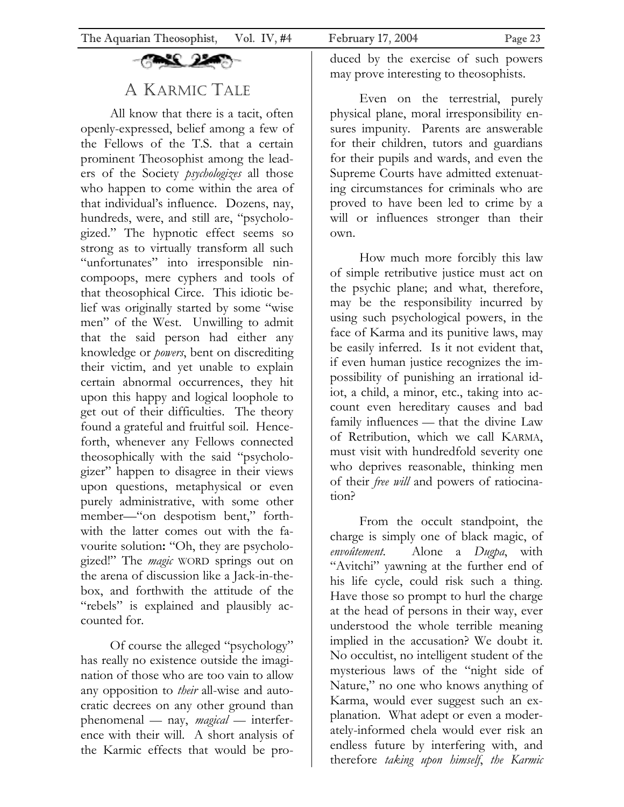### A KARMIC TALE

All know that there is a tacit, often openly-expressed, belief among a few of the Fellows of the T.S. that a certain prominent Theosophist among the leaders of the Society *psychologizes* all those who happen to come within the area of that individual's influence. Dozens, nay, hundreds, were, and still are, "psychologized." The hypnotic effect seems so strong as to virtually transform all such "unfortunates" into irresponsible nincompoops, mere cyphers and tools of that theosophical Circe. This idiotic belief was originally started by some "wise men" of the West. Unwilling to admit that the said person had either any knowledge or *powers*, bent on discrediting their victim, and yet unable to explain certain abnormal occurrences, they hit upon this happy and logical loophole to get out of their difficulties. The theory found a grateful and fruitful soil. Henceforth, whenever any Fellows connected theosophically with the said "psychologizer" happen to disagree in their views upon questions, metaphysical or even purely administrative, with some other member—"on despotism bent," forthwith the latter comes out with the favourite solution**:** "Oh, they are psychologized!" The *magic* WORD springs out on the arena of discussion like a Jack-in-thebox, and forthwith the attitude of the "rebels" is explained and plausibly accounted for.

Of course the alleged "psychology" has really no existence outside the imagination of those who are too vain to allow any opposition to *their* all-wise and autocratic decrees on any other ground than phenomenal — nay, *magical —* interference with their will. A short analysis of the Karmic effects that would be produced by the exercise of such powers may prove interesting to theosophists.

Even on the terrestrial, purely physical plane, moral irresponsibility ensures impunity. Parents are answerable for their children, tutors and guardians for their pupils and wards, and even the Supreme Courts have admitted extenuating circumstances for criminals who are proved to have been led to crime by a will or influences stronger than their own.

How much more forcibly this law of simple retributive justice must act on the psychic plane; and what, therefore, may be the responsibility incurred by using such psychological powers, in the face of Karma and its punitive laws, may be easily inferred. Is it not evident that, if even human justice recognizes the impossibility of punishing an irrational idiot, a child, a minor, etc., taking into account even hereditary causes and bad family influences — that the divine Law of Retribution, which we call KARMA, must visit with hundredfold severity one who deprives reasonable, thinking men of their *free will* and powers of ratiocination?

From the occult standpoint, the charge is simply one of black magic, of *envoûtement*. Alone a *Dugpa*, with "Avitchi" yawning at the further end of his life cycle, could risk such a thing. Have those so prompt to hurl the charge at the head of persons in their way, ever understood the whole terrible meaning implied in the accusation? We doubt it. No occultist, no intelligent student of the mysterious laws of the "night side of Nature," no one who knows anything of Karma, would ever suggest such an explanation. What adept or even a moderately-informed chela would ever risk an endless future by interfering with, and therefore *taking upon himself*, *the Karmic*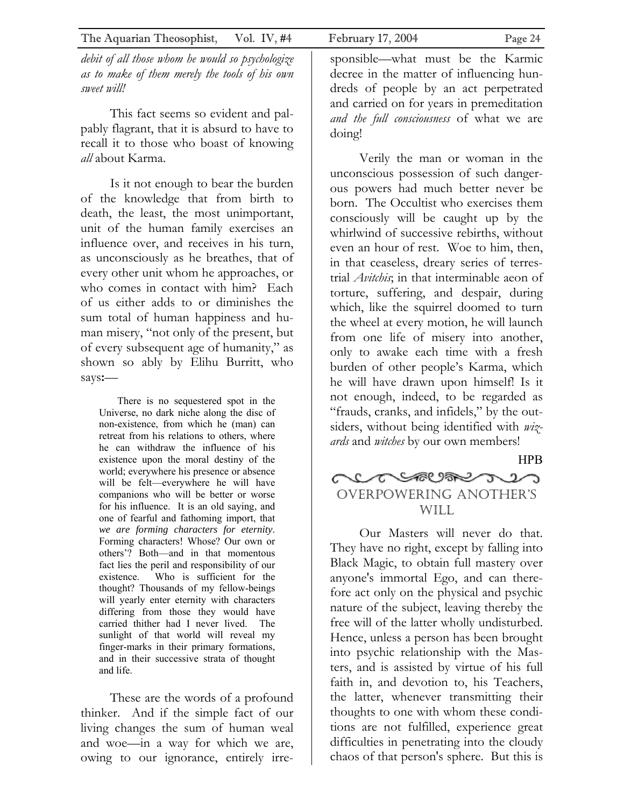*debit of all those whom he would so psychologize as to make of them merely the tools of his own sweet will!* 

This fact seems so evident and palpably flagrant, that it is absurd to have to recall it to those who boast of knowing *all* about Karma.

Is it not enough to bear the burden of the knowledge that from birth to death, the least, the most unimportant, unit of the human family exercises an influence over, and receives in his turn, as unconsciously as he breathes, that of every other unit whom he approaches, or who comes in contact with him? Each of us either adds to or diminishes the sum total of human happiness and human misery, "not only of the present, but of every subsequent age of humanity," as shown so ably by Elihu Burritt, who says**:**—

There is no sequestered spot in the Universe, no dark niche along the disc of non-existence, from which he (man) can retreat from his relations to others, where he can withdraw the influence of his existence upon the moral destiny of the world; everywhere his presence or absence will be felt—everywhere he will have companions who will be better or worse for his influence. It is an old saying, and one of fearful and fathoming import, that *we are forming characters for eternity*. Forming characters! Whose? Our own or others'? Both—and in that momentous fact lies the peril and responsibility of our existence. Who is sufficient for the thought? Thousands of my fellow-beings will yearly enter eternity with characters differing from those they would have carried thither had I never lived. The sunlight of that world will reveal my finger-marks in their primary formations, and in their successive strata of thought and life.

These are the words of a profound thinker. And if the simple fact of our living changes the sum of human weal and woe—in a way for which we are, owing to our ignorance, entirely irresponsible—what must be the Karmic decree in the matter of influencing hundreds of people by an act perpetrated and carried on for years in premeditation *and the full consciousness* of what we are doing!

Verily the man or woman in the unconscious possession of such dangerous powers had much better never be born. The Occultist who exercises them consciously will be caught up by the whirlwind of successive rebirths, without even an hour of rest. Woe to him, then, in that ceaseless, dreary series of terrestrial *Avitchis*; in that interminable aeon of torture, suffering, and despair, during which, like the squirrel doomed to turn the wheel at every motion, he will launch from one life of misery into another, only to awake each time with a fresh burden of other people's Karma, which he will have drawn upon himself! Is it not enough, indeed, to be regarded as "frauds, cranks, and infidels," by the outsiders, without being identified with *wizards* and *witches* by our own members!

HPB

#### こんじゅつ  $\sim$ 2  $\mathcal{T}$ OVERPOWERING ANOTHER'S WILL

Our Masters will never do that. They have no right, except by falling into Black Magic, to obtain full mastery over anyone's immortal Ego, and can therefore act only on the physical and psychic nature of the subject, leaving thereby the free will of the latter wholly undisturbed. Hence, unless a person has been brought into psychic relationship with the Masters, and is assisted by virtue of his full faith in, and devotion to, his Teachers, the latter, whenever transmitting their thoughts to one with whom these conditions are not fulfilled, experience great difficulties in penetrating into the cloudy chaos of that person's sphere. But this is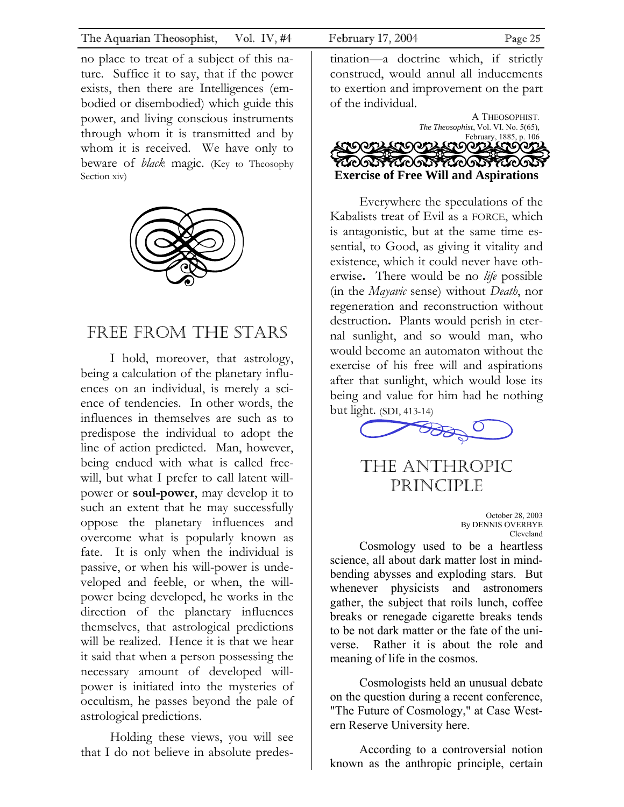<span id="page-24-0"></span>no place to treat of a subject of this nature. Suffice it to say, that if the power exists, then there are Intelligences (embodied or disembodied) which guide this power, and living conscious instruments through whom it is transmitted and by whom it is received. We have only to beware of *black* magic. (Key to Theosophy Section xiv)



### FREE FROM THE STARS

I hold, moreover, that astrology, being a calculation of the planetary influences on an individual, is merely a science of tendencies. In other words, the influences in themselves are such as to predispose the individual to adopt the line of action predicted. Man, however, being endued with what is called freewill, but what I prefer to call latent willpower or **soul-power**, may develop it to such an extent that he may successfully oppose the planetary influences and overcome what is popularly known as fate. It is only when the individual is passive, or when his will-power is undeveloped and feeble, or when, the willpower being developed, he works in the direction of the planetary influences themselves, that astrological predictions will be realized. Hence it is that we hear it said that when a person possessing the necessary amount of developed willpower is initiated into the mysteries of occultism, he passes beyond the pale of astrological predictions.

Holding these views, you will see that I do not believe in absolute predestination—a doctrine which, if strictly construed, would annul all inducements to exertion and improvement on the part of the individual.

| A THEOSOPHIST.                               |
|----------------------------------------------|
| The Theosophist, Vol. VI. No. 5(65),         |
| February, 1885, p. 106                       |
| <u> 1995) JANNIT TANNIT</u>                  |
| FAOODS FAOODS FAOODS FAOODS                  |
|                                              |
| <b>Exercise of Free Will and Aspirations</b> |

Everywhere the speculations of the Kabalists treat of Evil as a FORCE, which is antagonistic, but at the same time essential, to Good, as giving it vitality and existence, which it could never have otherwise**.** There would be no *life* possible (in the *Mayavic* sense) without *Death*, nor regeneration and reconstruction without destruction**.** Plants would perish in eternal sunlight, and so would man, who would become an automaton without the exercise of his free will and aspirations after that sunlight, which would lose its being and value for him had he nothing but light. (SDI, 413-14)

**BAC** 

THE ANTHROPIC PRINCIPLE

 October 28, 2003 By DENNIS OVERBYE Cleveland

Cosmology used to be a heartless science, all about dark matter lost in mindbending abysses and exploding stars. But whenever physicists and astronomers gather, the subject that roils lunch, coffee breaks or renegade cigarette breaks tends to be not dark matter or the fate of the universe. Rather it is about the role and meaning of life in the cosmos.

Cosmologists held an unusual debate on the question during a recent conference, "The Future of Cosmology," at Case Western Reserve University here.

According to a controversial notion known as the anthropic principle, certain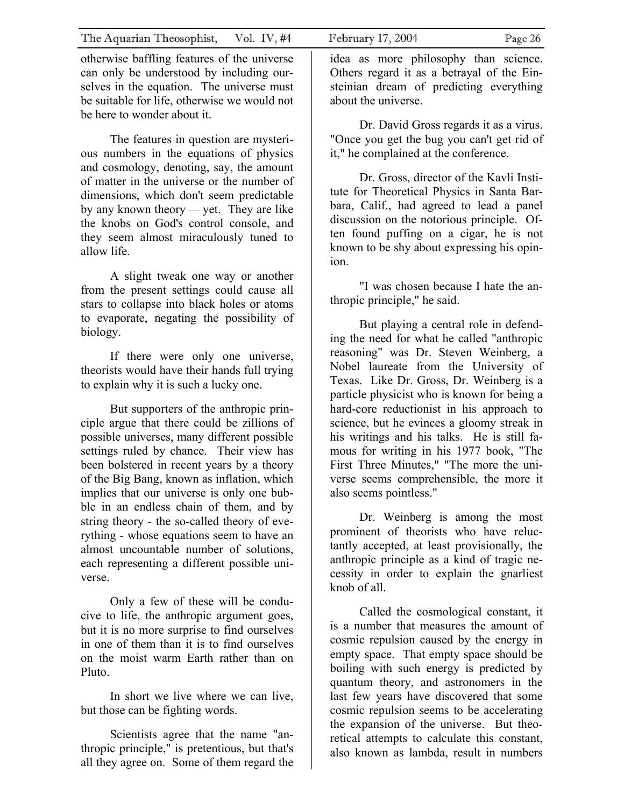otherwise baffling features of the universe can only be understood by including ourselves in the equation. The universe must be suitable for life, otherwise we would not be here to wonder about it.

The features in question are mysterious numbers in the equations of physics and cosmology, denoting, say, the amount of matter in the universe or the number of dimensions, which don't seem predictable by any known theory — yet. They are like the knobs on God's control console, and they seem almost miraculously tuned to allow life.

A slight tweak one way or another from the present settings could cause all stars to collapse into black holes or atoms to evaporate, negating the possibility of biology.

If there were only one universe, theorists would have their hands full trying to explain why it is such a lucky one.

But supporters of the anthropic principle argue that there could be zillions of possible universes, many different possible settings ruled by chance. Their view has been bolstered in recent years by a theory of the Big Bang, known as inflation, which implies that our universe is only one bubble in an endless chain of them, and by string theory - the so-called theory of everything - whose equations seem to have an almost uncountable number of solutions, each representing a different possible universe.

Only a few of these will be conducive to life, the anthropic argument goes, but it is no more surprise to find ourselves in one of them than it is to find ourselves on the moist warm Earth rather than on Pluto.

In short we live where we can live, but those can be fighting words.

Scientists agree that the name "anthropic principle," is pretentious, but that's all they agree on. Some of them regard the

idea as more philosophy than science. Others regard it as a betrayal of the Einsteinian dream of predicting everything about the universe.

Dr. David Gross regards it as a virus. "Once you get the bug you can't get rid of it," he complained at the conference.

Dr. Gross, director of the Kavli Institute for Theoretical Physics in Santa Barbara, Calif., had agreed to lead a panel discussion on the notorious principle. Often found puffing on a cigar, he is not known to be shy about expressing his opinion.

"I was chosen because I hate the anthropic principle," he said.

But playing a central role in defending the need for what he called "anthropic reasoning" was Dr. Steven Weinberg, a Nobel laureate from the University of Texas. Like Dr. Gross, Dr. Weinberg is a particle physicist who is known for being a hard-core reductionist in his approach to science, but he evinces a gloomy streak in his writings and his talks. He is still famous for writing in his 1977 book, "The First Three Minutes," "The more the universe seems comprehensible, the more it also seems pointless."

Dr. Weinberg is among the most prominent of theorists who have reluctantly accepted, at least provisionally, the anthropic principle as a kind of tragic necessity in order to explain the gnarliest knob of all.

Called the cosmological constant, it is a number that measures the amount of cosmic repulsion caused by the energy in empty space. That empty space should be boiling with such energy is predicted by quantum theory, and astronomers in the last few years have discovered that some cosmic repulsion seems to be accelerating the expansion of the universe. But theoretical attempts to calculate this constant, also known as lambda, result in numbers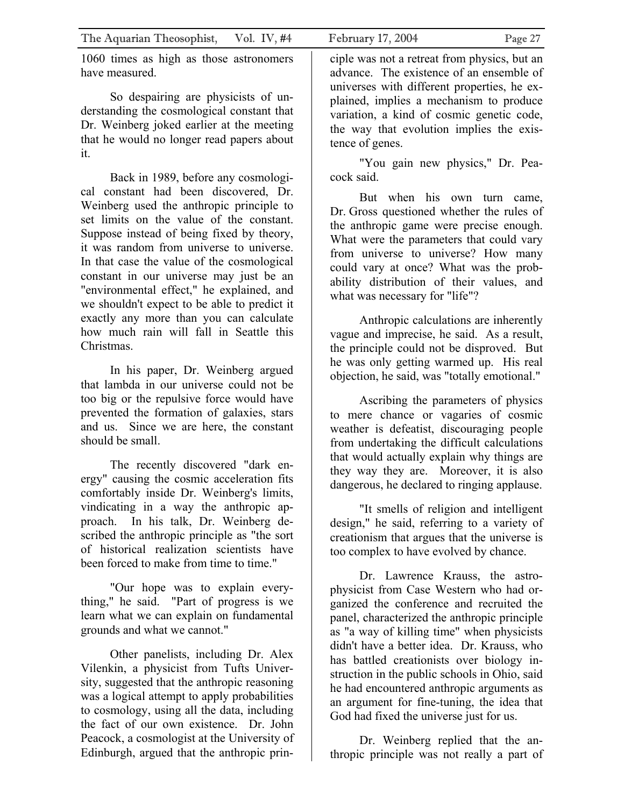1060 times as high as those astronomers have measured.

So despairing are physicists of understanding the cosmological constant that Dr. Weinberg joked earlier at the meeting that he would no longer read papers about it.

Back in 1989, before any cosmological constant had been discovered, Dr. Weinberg used the anthropic principle to set limits on the value of the constant. Suppose instead of being fixed by theory, it was random from universe to universe. In that case the value of the cosmological constant in our universe may just be an "environmental effect," he explained, and we shouldn't expect to be able to predict it exactly any more than you can calculate how much rain will fall in Seattle this Christmas.

In his paper, Dr. Weinberg argued that lambda in our universe could not be too big or the repulsive force would have prevented the formation of galaxies, stars and us. Since we are here, the constant should be small.

The recently discovered "dark energy" causing the cosmic acceleration fits comfortably inside Dr. Weinberg's limits, vindicating in a way the anthropic approach. In his talk, Dr. Weinberg described the anthropic principle as "the sort of historical realization scientists have been forced to make from time to time."

"Our hope was to explain everything," he said. "Part of progress is we learn what we can explain on fundamental grounds and what we cannot."

Other panelists, including Dr. Alex Vilenkin, a physicist from Tufts University, suggested that the anthropic reasoning was a logical attempt to apply probabilities to cosmology, using all the data, including the fact of our own existence. Dr. John Peacock, a cosmologist at the University of Edinburgh, argued that the anthropic prin-

universes with different properties, he explained, implies a mechanism to produce variation, a kind of cosmic genetic code, the way that evolution implies the existence of genes.

"You gain new physics," Dr. Peacock said.

But when his own turn came, Dr. Gross questioned whether the rules of the anthropic game were precise enough. What were the parameters that could vary from universe to universe? How many could vary at once? What was the probability distribution of their values, and what was necessary for "life"?

Anthropic calculations are inherently vague and imprecise, he said. As a result, the principle could not be disproved. But he was only getting warmed up. His real objection, he said, was "totally emotional."

Ascribing the parameters of physics to mere chance or vagaries of cosmic weather is defeatist, discouraging people from undertaking the difficult calculations that would actually explain why things are they way they are. Moreover, it is also dangerous, he declared to ringing applause.

"It smells of religion and intelligent design," he said, referring to a variety of creationism that argues that the universe is too complex to have evolved by chance.

Dr. Lawrence Krauss, the astrophysicist from Case Western who had organized the conference and recruited the panel, characterized the anthropic principle as "a way of killing time" when physicists didn't have a better idea. Dr. Krauss, who has battled creationists over biology instruction in the public schools in Ohio, said he had encountered anthropic arguments as an argument for fine-tuning, the idea that God had fixed the universe just for us.

Dr. Weinberg replied that the anthropic principle was not really a part of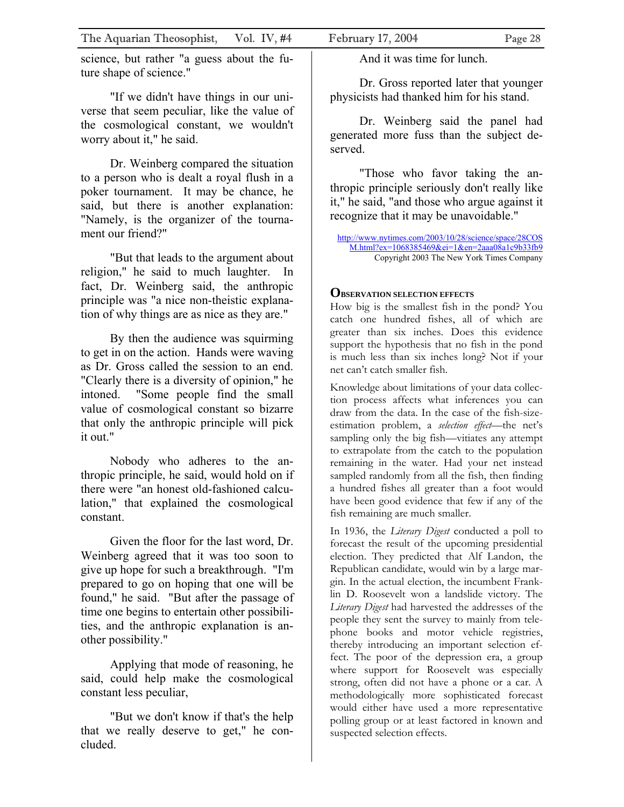science, but rather "a guess about the future shape of science."

"If we didn't have things in our universe that seem peculiar, like the value of the cosmological constant, we wouldn't worry about it," he said.

Dr. Weinberg compared the situation to a person who is dealt a royal flush in a poker tournament. It may be chance, he said, but there is another explanation: "Namely, is the organizer of the tournament our friend?"

"But that leads to the argument about religion," he said to much laughter. In fact, Dr. Weinberg said, the anthropic principle was "a nice non-theistic explanation of why things are as nice as they are."

By then the audience was squirming to get in on the action. Hands were waving as Dr. Gross called the session to an end. "Clearly there is a diversity of opinion," he intoned. "Some people find the small value of cosmological constant so bizarre that only the anthropic principle will pick it out."

Nobody who adheres to the anthropic principle, he said, would hold on if there were "an honest old-fashioned calculation," that explained the cosmological constant.

Given the floor for the last word, Dr. Weinberg agreed that it was too soon to give up hope for such a breakthrough. "I'm prepared to go on hoping that one will be found," he said. "But after the passage of time one begins to entertain other possibilities, and the anthropic explanation is another possibility."

Applying that mode of reasoning, he said, could help make the cosmological constant less peculiar,

"But we don't know if that's the help that we really deserve to get," he concluded.

And it was time for lunch.

Dr. Gross reported later that younger physicists had thanked him for his stand.

Dr. Weinberg said the panel had generated more fuss than the subject deserved.

"Those who favor taking the anthropic principle seriously don't really like it," he said, "and those who argue against it recognize that it may be unavoidable."

[http://www.nytimes.com/2003/10/28/science/space/28COS](http://www.nytimes.com/2003/10/28/science/space/28COSM.html?ex=1068385469&ei=1&en=2aaa08a1c9b33fb9) [M.html?ex=1068385469&ei=1&en=2aaa08a1c9b33fb9](http://www.nytimes.com/2003/10/28/science/space/28COSM.html?ex=1068385469&ei=1&en=2aaa08a1c9b33fb9)  Copyright 2003 The New York Times Company

### **OBSERVATION SELECTION EFFECTS**

How big is the smallest fish in the pond? You catch one hundred fishes, all of which are greater than six inches. Does this evidence support the hypothesis that no fish in the pond is much less than six inches long? Not if your net can't catch smaller fish.

Knowledge about limitations of your data collection process affects what inferences you can draw from the data. In the case of the fish-sizeestimation problem, a *selection effect*—the net's sampling only the big fish—vitiates any attempt to extrapolate from the catch to the population remaining in the water. Had your net instead sampled randomly from all the fish, then finding a hundred fishes all greater than a foot would have been good evidence that few if any of the fish remaining are much smaller.

In 1936, the *Literary Digest* conducted a poll to forecast the result of the upcoming presidential election. They predicted that Alf Landon, the Republican candidate, would win by a large margin. In the actual election, the incumbent Franklin D. Roosevelt won a landslide victory. The *Literary Digest* had harvested the addresses of the people they sent the survey to mainly from telephone books and motor vehicle registries, thereby introducing an important selection effect. The poor of the depression era, a group where support for Roosevelt was especially strong, often did not have a phone or a car. A methodologically more sophisticated forecast would either have used a more representative polling group or at least factored in known and suspected selection effects.